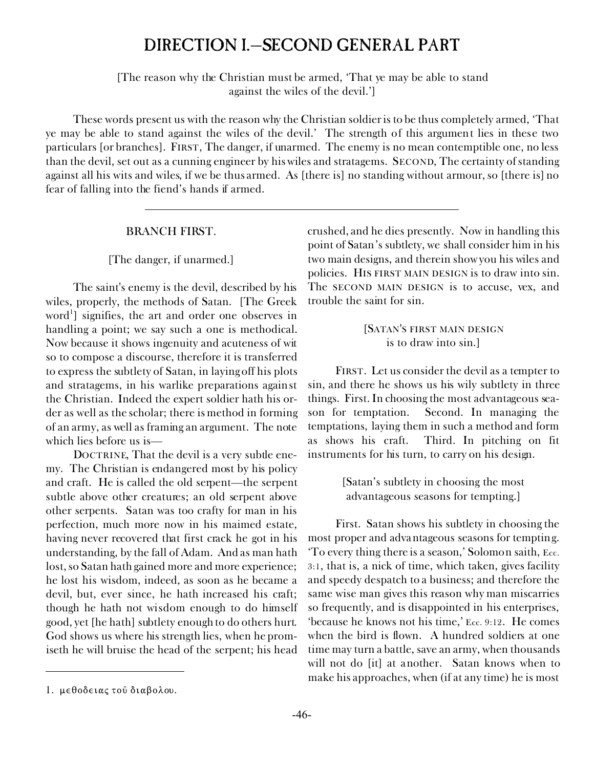# DIRECTION I.—SECOND GENERAL PART

*[The reason why the Christian must be armed, 'That ye may be able to stand against the wiles of the devil.']*

These words present us with the reason why the Christian soldier is to be thus completely armed, *'That ye may be able to stand against the wiles of the devil.'* The strength of this argument lies in these two particulars [or branches]. FIRST, *The danger, if unarmed.* The enemy is no mean contemptible one, no less than the devil, set out as a cunning engineer by his wiles and stratagems. SECOND, *The certainty of standing against all his wits and wiles, if we be thus armed.* As [there is] no standing without armour, so [there is] no fear of falling into the fiend's hands if armed.

#### BRANCH FIRST.

#### *[The danger, if unarmed.]*

The saint's enemy is the devil, described by his wiles, properly, the methods of Satan. [The Greek word<sup>1</sup>] signifies, the art and order one observes in handling a point; we say such a one is methodical. Now because it shows ingenuity and acuteness of wit so to compose a discourse, therefore it is transferred to express the subtlety of Satan, in laying off his plots and stratagems, in his warlike preparations against the Christian. Indeed the expert soldier hath his order as well as the scholar; there is method in forming of an army, as well as framing an argument. The note which lies before us is—

DOCTRINE, *That the devil is a very subtle enemy.* The Christian is endangered most by his policy and craft. He is called the old serpent—the serpent subtle above other creatures; an old serpent above other serpents. Satan was too crafty for man in his perfection, much more now in his maimed estate, having never recovered that first crack he got in his understanding, by the fall of Adam. And as man hath lost, so Satan hath gained more and more experience; he lost his wisdom, indeed, as soon as he became a devil, but, ever since, he hath increased his craft; though he hath not wisdom enough to do himself good, yet [he hath] subtlety enough to do others hurt. God shows us where his strength lies, when he promiseth he will bruise the head of the serpent; his head

crushed, and he dies presently. Now in handling this point of Satan's subtlety, we shall consider him in his *two main designs,* and therein show you his wiles and policies. HIS FIRST MAIN DESIGN is to draw into sin. The SECOND MAIN DESIGN is to accuse, vex, and trouble the saint for sin.

## [SATAN'S FIRST MAIN DESIGN *is to draw into sin.]*

FIRST. Let us consider the devil as a tempter to sin, and there he shows us his wily subtlety in three things. *First.* In choosing the most advantageous season for temptation. *Second.* In managing the temptations, laying them in such a method and form as shows his craft. *Third.* In pitching on fit instruments for his turn, to carry on his design.

> *[Satan's subtlety in choosing the most advantageous seasons for tempting.]*

*First.* Satan shows his subtlety *in choosing the most proper and advantageous seasons for tempting.* 'To every thing there is a season,' Solomon saith, Ecc. 3:1, that is, a nick of time, which taken, gives facility and speedy despatch to a business; and therefore the same wise man gives this reason why man miscarries so frequently, and is disappointed in his enterprises, 'because he knows not his time,' Ecc. 9:12. He comes when the bird is flown. A hundred soldiers at one time may turn a battle, save an army, when thousands will not do [it] at another. Satan knows when to make his approaches, when (if at any time) he is most

<sup>1.</sup> μεθοδειας τού διαβολου.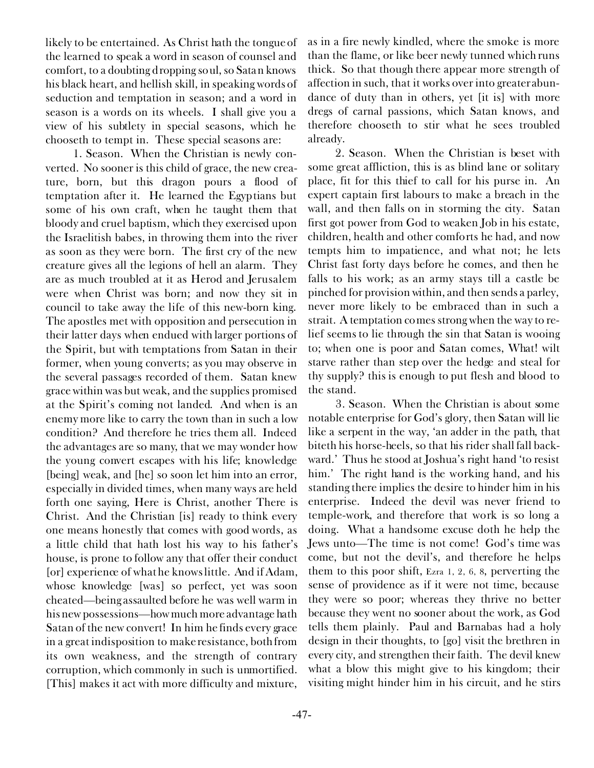likely to be entertained. As Christ hath the tongue of the learned to speak a word in season of counsel and comfort, to a doubting dropping soul, so Satan knows his black heart, and hellish skill, in speaking words of seduction and temptation in season; and a word in season is a words on its wheels. I shall give you a view of his subtlety in special seasons, which he chooseth to tempt in. These special seasons are:

1. *Season.* When the Christian is newly converted. No sooner is this child of grace, the new creature, born, but this dragon pours a flood of temptation after it. He learned the Egyptians but some of his own craft, when he taught them that bloody and cruel baptism, which they exercised upon the Israelitish babes, in throwing them into the river as soon as they were born. The first cry of the new creature gives all the legions of hell an alarm. They are as much troubled at it as Herod and Jerusalem were when Christ was born; and now they sit in council to take away the life of this new-born king. The apostles met with opposition and persecution in their latter days when endued with larger portions of the Spirit, but with temptations from Satan in their former, when young converts; as you may observe in the several passages recorded of them. Satan knew grace within was but weak, and the supplies promised at the Spirit's coming not landed. And when is an enemy more like to carry the town than in such a low condition? And therefore he tries them all. Indeed the advantages are so many, that we may wonder how the young convert escapes with his life; knowledge [being] weak, and [he] so soon let him into an error, especially in divided times, when many ways are held forth one saying, Here is Christ, another There is Christ. And the Christian [is] ready to think every one means honestly that comes with good words, as a little child that hath lost his way to his father's house, is prone to follow any that offer their conduct [or] experience of what he knows little. And if Adam, whose knowledge [was] so perfect, yet was soon cheated—being assaulted before he was well warm in his new possessions—howmuch more advantage hath Satan of the new convert! In him he finds every grace in a great indisposition to make resistance, both from its own weakness, and the strength of contrary corruption, which commonly in such is unmortified. [This] makes it act with more difficulty and mixture,

-47-

as in a fire newly kindled, where the smoke is more than the flame, or like beer newly tunned which runs thick. So that though there appear more strength of affection in such, that it works over into greater abundance of duty than in others, yet [it is] with more dregs of carnal passions, which Satan knows, and therefore chooseth to stir what he sees troubled already.

2. *Season.* When the Christian is beset with some great affliction, this is as blind lane or solitary place, fit for this thief to call for his purse in. An expert captain first labours to make a breach in the wall, and then falls on in storming the city. Satan first got power from God to weaken Job in his estate, children, health and other comforts he had, and now tempts him to impatience, and what not; he lets Christ fast forty days before he comes, and then he falls to his work; as an army stays till a castle be pinched for provision within, and then sends a parley, never more likely to be embraced than in such a strait. A temptation comes strong when the way to relief seems to lie through the sin that Satan is wooing to; when one is poor and Satan comes, What! wilt starve rather than step over the hedge and steal for thy supply? this is enough to put flesh and blood to the stand.

3. *Season.* When the Christian is about some notable enterprise for God's glory, then Satan will lie like a serpent in the way, 'an adder in the path, that biteth his horse-heels, so that his rider shall fall backward.' Thus he stood at Joshua's right hand 'to resist him.' The right hand is the working hand, and his standing there implies the desire to hinder him in his enterprise. Indeed the devil was never friend to temple-work, and therefore that work is so long a doing. What a handsome excuse doth he help the Jews unto—The time is not come! God's time was come, but not the devil's, and therefore he helps them to this poor shift, Ezra 1, 2, 6, 8, perverting the sense of providence as if it were not time, because they were so poor; whereas they thrive no better because they went no sooner about the work, as God tells them plainly. Paul and Barnabas had a holy design in their thoughts, to [go] visit the brethren in every city, and strengthen their faith. The devil knew what a blow this might give to his kingdom; their visiting might hinder him in his circuit, and he stirs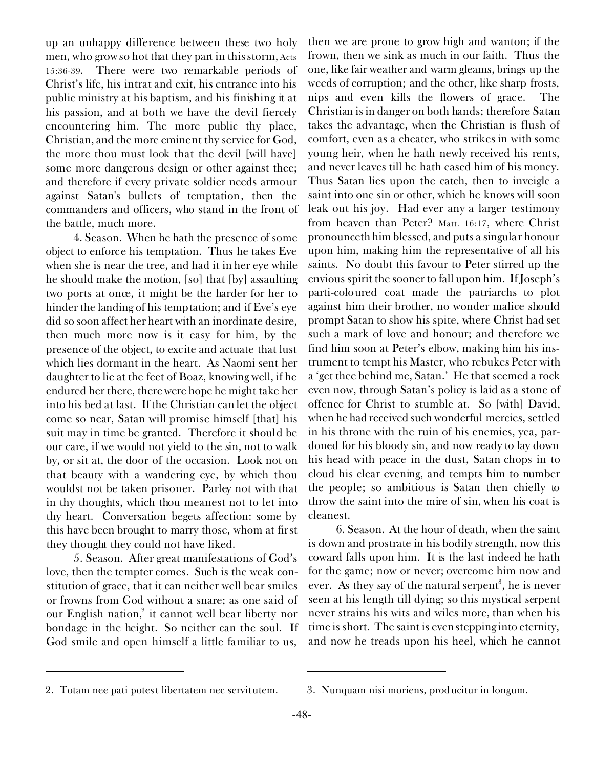up an unhappy difference between these two holy men, who grow so hot that they part in this storm, Acts 15:36-39. There were two remarkable periods of Christ's life, his *intrat* and *exit,* his entrance into his public ministry at his baptism, and his finishing it at his passion, and at both we have the devil fiercely encountering him. The more public thy place, Christian, and the more eminent thy service for God, the more thou must look that the devil [will have] some more dangerous design or other against thee; and therefore if every private soldier needs armour against Satan's bullets of temptation, then the commanders and officers, who stand in the front of the battle, much more.

4. *Season.* When he hath the presence of some object to enforce his temptation. Thus he takes Eve when she is near the tree, and had it in her eye while he should make the motion, [so] that [by] assaulting two ports at once, it might be the harder for her to hinder the landing of his temptation; and if Eve's eye did so soon affect her heart with an inordinate desire, then much more now is it easy for him, by the presence of the object, to excite and actuate that lust which lies dormant in the heart. As Naomi sent her daughter to lie at the feet of Boaz, knowing well, if he endured her there, there were hope he might take her into his bed at last. If the Christian can let the object come so near, Satan will promise himself [that] his suit may in time be granted. Therefore it should be our care, if we would not yield to the sin, not to walk by, or sit at, the door of the occasion. Look not on that beauty with a wandering eye, by which thou wouldst not be taken prisoner. Parley not with that in thy thoughts, which thou meanest not to let into thy heart. Conversation begets affection: some by this have been brought to marry those, whom at first they thought they could not have liked.

5. *Season.* After great manifestations of God's love, then the tempter comes. Such is the weak constitution of grace, that it can neither well bear smiles or frowns from God without a snare; as one said of our English nation,<sup>2</sup> it cannot well bear liberty nor bondage in the height. So neither can the soul. If God smile and open himself a little familiar to us,

then we are prone to grow high and wanton; if the frown, then we sink as much in our faith. Thus the one, like fair weather and warm gleams, brings up the weeds of corruption; and the other, like sharp frosts, nips and even kills the flowers of grace. The Christian is in danger on both hands; therefore Satan takes the advantage, when the Christian is flush of comfort, even as a cheater, who strikes in with some young heir, when he hath newly received his rents, and never leaves till he hath eased him of his money. Thus Satan lies upon the catch, then to inveigle a saint into one sin or other, which he knows will soon leak out his joy. Had ever any a larger testimony from heaven than Peter? Matt. 16:17, where Christ pronounceth him blessed, and puts a singular honour upon him, making him the representative of all his saints. No doubt this favour to Peter stirred up the envious spirit the sooner to fall upon him. If Joseph's parti-coloured coat made the patriarchs to plot against him their brother, no wonder malice should prompt Satan to show his spite, where Christ had set such a mark of love and honour; and therefore we find him soon at Peter's elbow, making him his instrument to tempt his Master, who rebukes Peter with a 'get thee behind me, Satan.' He that seemed a rock even now, through Satan's policy is laid as a stone of offence for Christ to stumble at. So [with] David, when he had received such wonderful mercies, settled in his throne with the ruin of his enemies, yea, pardoned for his bloody sin, and now ready to lay down his head with peace in the dust, Satan chops in to cloud his clear evening, and tempts him to number the people; so ambitious is Satan then chiefly to throw the saint into the mire of sin, when his coat is cleanest.

6. *Season.* At the hour of death, when the saint is down and prostrate in his bodily strength, now this coward falls upon him. It is the last indeed he hath for the game; now or never; overcome him now and ever. As they say of the natural serpent<sup>3</sup>, he is never seen at his length till dying; so this mystical serpent never strains his wits and wiles more, than when his time is short. The saint is even stepping into eternity, and now he treads upon his heel, which he cannot

<sup>2.</sup> *Totam nee pati potest libertatem nec servitutem.* 3. *Nunquam nisi moriens, producitur in longum.*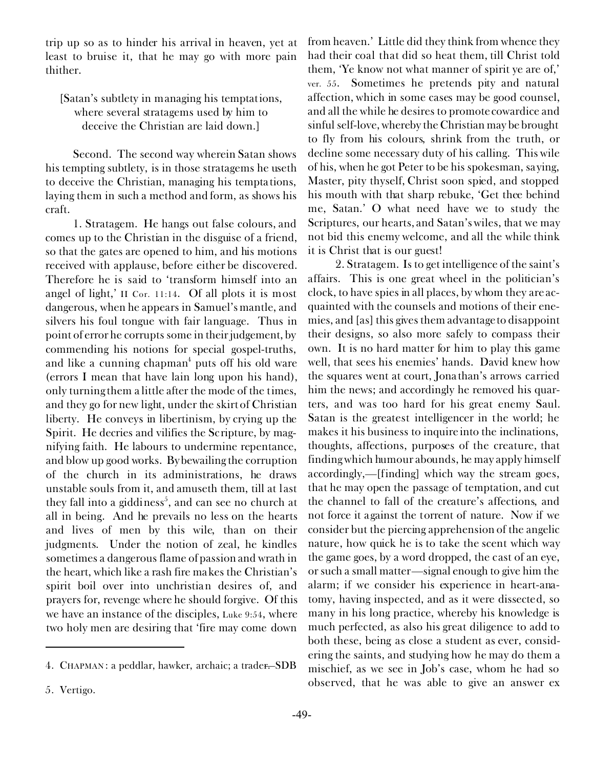trip up so as to hinder his arrival in heaven, yet at least to bruise it, that he may go with more pain thither.

## *[Satan's subtlety in managing his temptations, where several stratagems used by him to deceive the Christian are laid down.]*

*Second.* The second way wherein Satan shows his tempting subtlety, is in those stratagems he useth to deceive the Christian, *managing his temptations, laying them in such a method and form, as shows his craft.*

1. *Stratagem.* He hangs out false colours, and comes up to the Christian in the disguise of a friend, so that the gates are opened to him, and his motions received with applause, before either be discovered. Therefore he is said to 'transform himself into an angel of light,' II Cor. 11:14. Of all plots it is most dangerous, when he appears in Samuel's mantle, and silvers his foul tongue with fair language. Thus in point of error he corrupts some in their judgement, by commending his notions for special gospel-truths, and like a cunning chapman $^4$  puts off his old ware (errors I mean that have lain long upon his hand), only turning them a little after the mode of the times, and they go for new light, under the skirt of Christian liberty. He conveys in libertinism, by crying up the Spirit. He decries and vilifies the Scripture, by magnifying faith. He labours to undermine repentance, and blow up good works. By bewailing the corruption of the church in its administrations, he draws unstable souls from it, and amuseth them, till at last they fall into a giddiness<sup>5</sup>, and can see no church at all in being. And he prevails no less on the hearts and lives of men by this wile, than on their judgments. Under the notion of zeal, he kindles sometimes a dangerous flame of passion and wrath in the heart, which like a rash fire makes the Christian's spirit boil over into unchristian desires of, and prayers for, revenge where he should forgive. Of this we have an instance of the disciples, Luke 9:54, where two holy men are desiring that 'fire may come down

from heaven.' Little did they think from whence they had their coal that did so heat them, till Christ told them, 'Ye know not what manner of spirit ye are of,' ver. 55. Sometimes he pretends pity and natural affection, which in some cases may be good counsel, and all the while he desires to promote cowardice and sinful self-love, whereby the Christian may be brought to fly from his colours, shrink from the truth, or decline some necessary duty of his calling. This wile of his, when he got Peter to be his spokesman, saying, Master, pity thyself, Christ soon spied, and stopped his mouth with that sharp rebuke, 'Get thee behind me, Satan.' O what need have we to study the Scriptures, our hearts, and Satan's wiles, that we may not bid this enemy welcome, and all the while think it is Christ that is our guest!

2. *Stratagem.* Is to get intelligence of the saint's affairs. This is one great wheel in the politician's clock, to have spies in all places, by whom they are acquainted with the counsels and motions of their enemies, and [as] this gives them advantage to disappoint their designs, so also more safely to compass their own. It is no hard matter for him to play this game well, that sees his enemies' hands. David knew how the squares went at court, Jonathan's arrows carried him the news; and accordingly he removed his quarters, and was too hard for his great enemy Saul. Satan is the greatest intelligencer in the world; he makes it his business to inquire into the inclinations, thoughts, affections, purposes of the creature, that finding which humour abounds, he may apply himself accordingly,—[finding] which way the stream goes, that he may open the passage of temptation, and cut the channel to fall of the creature's affections, and not force it against the torrent of nature. Now if we consider but the piercing apprehension of the angelic nature, how quick he is to take the scent which way the game goes, by a word dropped, the cast of an eye, or such a small matter—signal enough to give him the alarm; if we consider his experience in heart-anatomy, having inspected, and as it were dissected, so many in his long practice, whereby his knowledge is much perfected, as also his great diligence to add to both these, being as close a student as ever, considering the saints, and studying how he may do them a mischief, as we see in Job's case, whom he had so observed, that he was able to give an answer *ex*

<sup>4.</sup> CHAPMAN : a peddlar, hawker, *archaic;* a trader. —SDB

<sup>5.</sup> Vertigo.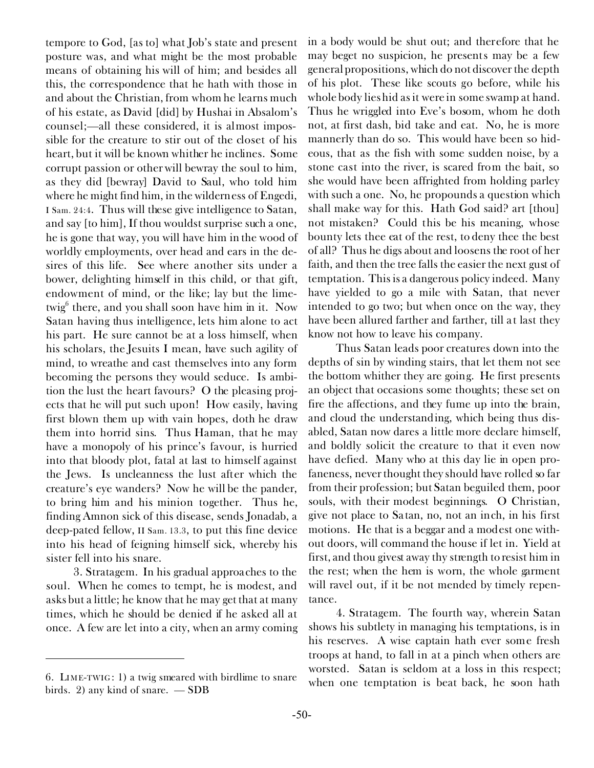*tempore* to God, [as to] what Job's state and present posture was, and what might be the most probable means of obtaining his will of him; and besides all this, the correspondence that he hath with those in and about the Christian, from whom he learns much of his estate, as David [did] by Hushai in Absalom's counsel;—all these considered, it is almost impossible for the creature to stir out of the closet of his heart, but it will be known whither he inclines. Some corrupt passion or other will bewray the soul to him, as they did [bewray] David to Saul, who told him where he might find him, in the wilderness of Engedi, I Sam. 24:4. Thus will these give intelligence to Satan, and say [to him], If thou wouldst surprise such a one, he is gone that way, you will have him in the wood of worldly employments, over head and ears in the desires of this life. See where another sits under a bower, delighting himself in this child, or that gift, endowment of mind, or the like; lay but the limetwig<sup>6</sup> there, and you shall soon have him in it. Now Satan having thus intelligence, lets him alone to act his part. He sure cannot be at a loss himself, when his scholars, the Jesuits I mean, have such agility of mind, to wreathe and cast themselves into any form becoming the persons they would seduce. Is ambition the lust the heart favours? O the pleasing projects that he will put such upon! How easily, having first blown them up with vain hopes, doth he draw them into horrid sins. Thus Haman, that he may have a monopoly of his prince's favour, is hurried into that bloody plot, fatal at last to himself against the Jews. Is uncleanness the lust after which the creature's eye wanders? Now he will be the pander, to bring him and his minion together. Thus he, finding Amnon sick of this disease, sends Jonadab, a deep-pated fellow, II Sam. 13.3, to put this fine device into his head of feigning himself sick, whereby his sister fell into his snare.

3. *Stratagem.* In his gradual approaches to the soul. When he comes to tempt, he is modest, and asks but a little; he know that he may get that at many times, which he should be denied if he asked all at once. A few are let into a city, when an army coming in a body would be shut out; and therefore that he may beget no suspicion, he presents may be a few general propositions, which do not discover the depth of his plot. These like scouts go before, while his whole body lies hid as it were in some swamp at hand. Thus he wriggled into Eve's bosom, whom he doth not, at first dash, bid take and eat. No, he is more mannerly than do so. This would have been so hideous, that as the fish with some sudden noise, by a stone cast into the river, is scared from the bait, so she would have been affrighted from holding parley with such a one. No, he propounds a question which shall make way for this. Hath God said? art [thou] not mistaken? Could this be his meaning, whose bounty lets thee eat of the rest, to deny thee the best of all? Thus he digs about and loosens the root of her faith, and then the tree falls the easier the next gust of temptation. This is a dangerous policy indeed. Many have yielded to go a mile with Satan, that never intended to go two; but when once on the way, they have been allured farther and farther, till at last they know not how to leave his company.

Thus Satan leads poor creatures down into the depths of sin by winding stairs, that let them not see the bottom whither they are going. He first presents an object that occasions some thoughts; these set on fire the affections, and they fume up into the brain, and cloud the understanding, which being thus disabled, Satan now dares a little more declare himself, and boldly solicit the creature to that it even now have defied. Many who at this day lie in open profaneness, never thought they should have rolled so far from their profession; but Satan beguiled them, poor souls, with their modest beginnings. O Christian, give not place to Satan, no, not an inch, in his first motions. He that is a beggar and a modest one without doors, will command the house if let in. Yield at first, and thou givest away thy strength to resist him in the rest; when the hem is worn, the whole garment will ravel out, if it be not mended by timely repentance.

4. *Stratagem.* The fourth way, wherein Satan shows his subtlety in managing his temptations, is in his reserves. A wise captain hath ever some fresh troops at hand, to fall in at a pinch when others are worsted. Satan is seldom at a loss in this respect; when one temptation is beat back, he soon hath

<sup>6.</sup> LIME-TWIG : 1) a twig smeared with birdlime to snare birds. 2) any kind of snare. — SDB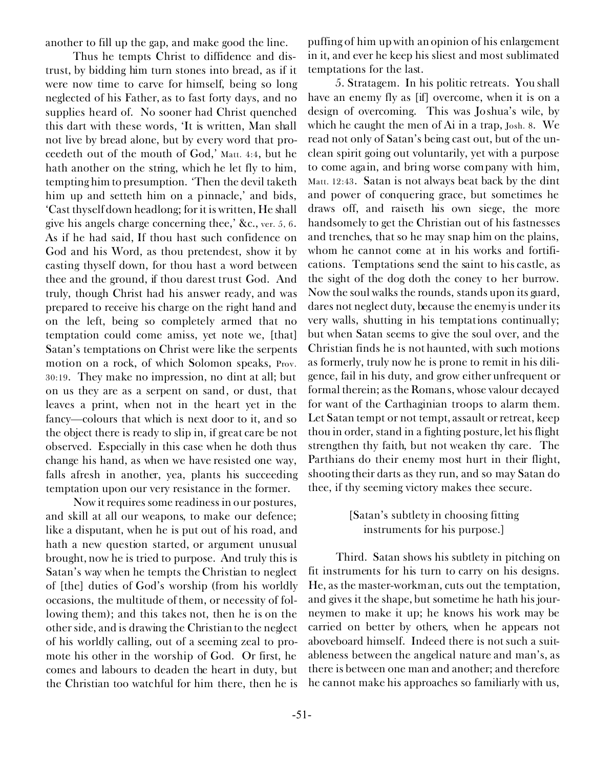another to fill up the gap, and make good the line.

Thus he tempts Christ to diffidence and distrust, by bidding him turn stones into bread, as if it were now time to carve for himself, being so long neglected of his Father, as to fast forty days, and no supplies heard of. No sooner had Christ quenched this dart with these words, 'It is written, Man shall not live by bread alone, but by every word that proceedeth out of the mouth of God,' Matt. 4:4, but he hath another on the string, which he let fly to him, tempting him to presumption. 'Then the devil taketh him up and setteth him on a pinnacle,' and bids, 'Cast thyself down headlong; for it is written, He shall give his angels charge concerning thee,' &c., ver. 5, 6. As if he had said, If thou hast such confidence on God and his Word, as thou pretendest, show it by casting thyself down, for thou hast a word between thee and the ground, if thou darest trust God. And truly, though Christ had his answer ready, and was prepared to receive his charge on the right hand and on the left, being so completely armed that no temptation could come amiss, yet note we, [that] Satan's temptations on Christ were like the serpents motion on a rock, of which Solomon speaks, Prov. 30:19. They make no impression, no dint at all; but on us they are as a serpent on sand, or dust, that leaves a print, when not in the heart yet in the fancy—colours that which is next door to it, and so the object there is ready to slip in, if great care be not observed. Especially in this case when he doth thus change his hand, as when we have resisted one way, falls afresh in another, yea, plants his succeeding temptation upon our very resistance in the former.

Now it requires some readiness in our postures, and skill at all our weapons, to make our defence; like a disputant, when he is put out of his road, and hath a new question started, or argument unusual brought, now he is tried to purpose. And truly this is Satan's way when he tempts the Christian to neglect of [the] duties of God's worship (from his worldly occasions, the multitude of them, or necessity of following them); and this takes not, then he is on the other side, and is drawing the Christian to the neglect of his worldly calling, out of a seeming zeal to promote his other in the worship of God. Or first, he comes and labours to deaden the heart in duty, but the Christian too watchful for him there, then he is

puffing of him up with an opinion of his enlargement in it, and ever he keep his sliest and most sublimated temptations for the last.

5. *Stratagem.* In his politic retreats. You shall have an enemy fly as [if] overcome, when it is on a design of overcoming. This was Joshua's wile, by which he caught the men of Ai in a trap, Josh. 8. We read not only of Satan's being cast out, but of the unclean spirit going out voluntarily, yet with a purpose to come again, and bring worse company with him, Matt. 12:43. Satan is not always beat back by the dint and power of conquering grace, but sometimes he draws off, and raiseth his own siege, the more handsomely to get the Christian out of his fastnesses and trenches, that so he may snap him on the plains, whom he cannot come at in his works and fortifications. Temptations send the saint to his castle, as the sight of the dog doth the coney to her burrow. Now the soul walks the rounds, stands upon its guard, dares not neglect duty, because the enemy is under its very walls, shutting in his temptations continually; but when Satan seems to give the soul over, and the Christian finds he is not haunted, with such motions as formerly, truly now he is prone to remit in his diligence, fail in his duty, and grow either unfrequent or formal therein; as the Romans, whose valour decayed for want of the Carthaginian troops to alarm them. Let Satan tempt or not tempt, assault or retreat, keep thou in order, stand in a fighting posture, let his flight strengthen thy faith, but not weaken thy care. The Parthians do their enemy most hurt in their flight, shooting their darts as they run, and so may Satan do thee, if thy seeming victory makes thee secure.

### *[Satan's subtlety in choosing fitting instruments for his purpose.]*

*Third.* Satan shows his subtlety *in pitching on fit instruments for his turn to carry on his designs.* He, as the master-workman, cuts out the temptation, and gives it the shape, but sometime he hath his journeymen to make it up; he knows his work may be carried on better by others, when he appears not aboveboard himself. Indeed there is not such a suitableness between the angelical nature and man's, as there is between one man and another; and therefore he cannot make his approaches so familiarly with us,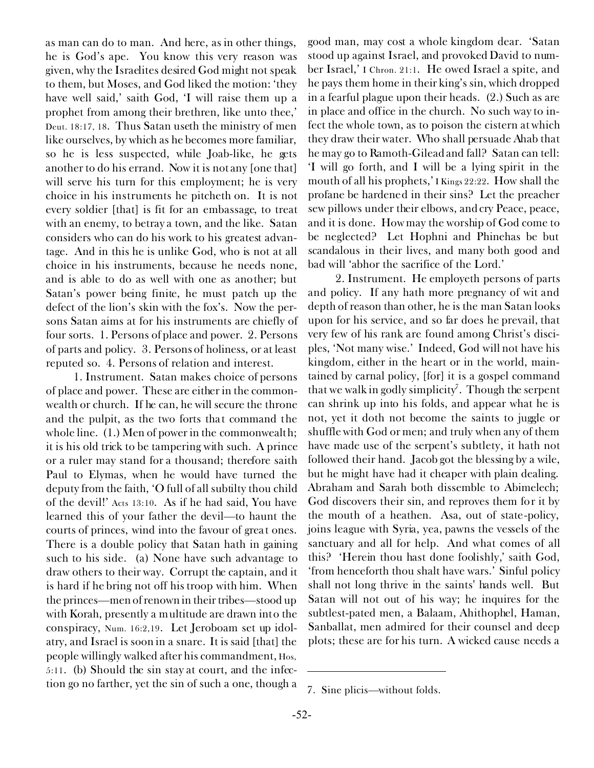as man can do to man. And here, as in other things, he is God's ape. You know this very reason was given, why the Israelites desired God might not speak to them, but Moses, and God liked the motion: 'they have well said,' saith God, 'I will raise them up a prophet from among their brethren, like unto thee,' Deut. 18:17, 18. Thus Satan useth the ministry of men like ourselves, by which as he becomes more familiar, so he is less suspected, while Joab-like, he gets another to do his errand. Now it is not any [one that] will serve his turn for this employment; he is very choice in his instruments he pitcheth on. It is not every soldier [that] is fit for an embassage, to treat with an enemy, to betray a town, and the like. Satan considers who can do his work to his greatest advantage. And in this he is unlike God, who is not at all choice in his instruments, because he needs none, and is able to do as well with one as another; but Satan's power being finite, he must patch up the defect of the lion's skin with the fox's. Now the persons Satan aims at for his instruments are chiefly of four sorts. 1. Persons of *place and power.* 2. Persons of *parts and policy.* 3. Persons of *holiness,* or *at least reputed so.* 4. Persons of *relation and interest.*

1. *Instrument.* Satan makes choice of *persons of place and power.* These are either in the commonwealth or church. If he can, he will secure the throne and the pulpit, as the two forts that command the whole line. (1.) Men of power in the commonwealth; it is his old trick to be tampering with such. A prince or a ruler may stand for a thousand; therefore saith Paul to Elymas, when he would have turned the deputy from the faith, 'O full of all subtilty thou child of the devil!' Acts 13:10. As if he had said, You have learned this of your father the devil—to haunt the courts of princes, wind into the favour of great ones. There is a double policy that Satan hath in gaining such to his side. *(a)* None have such advantage to draw others to their way. Corrupt the captain, and it is hard if he bring not off his troop with him. When the princes—men of renown in their tribes—stood up with Korah, presently a multitude are drawn into the conspiracy, Num. 16:2,19. Let Jeroboam set up idolatry, and Israel is soon in a snare. It is said [that] the people willingly walked after his commandment, Hos, 5:11. *(b)* Should the sin stay at court, and the infection go no farther, yet the sin of such a one, though a

good man, may cost a whole kingdom dear. 'Satan stood up against Israel, and provoked David to number Israel,' I Chron. 21:1. He owed Israel a spite, and he pays them home in their king's sin, which dropped in a fearful plague upon their heads. (2.) Such as are in place and office in the church. No such way to infect the whole town, as to poison the cistern at which they draw their water. Who shall persuade Ahab that he may go to Ramoth-Gilead and fall? Satan can tell: 'I will go forth, and I will be a lying spirit in the mouth of all his prophets,' I Kings 22:22. How shall the profane be hardened in their sins? Let the preacher sew pillows under their elbows, and cry Peace, peace, and it is done. How may the worship of God come to be neglected? Let Hophni and Phinehas be but scandalous in their lives, and many both good and bad will 'abhor the sacrifice of the Lord.'

2. *Instrument.* He employeth *persons of parts and policy.* If any hath more pregnancy of wit and depth of reason than other, he is the man Satan looks upon for his service, and so far does he prevail, that very few of his rank are found among Christ's disciples, 'Not many wise.' Indeed, God will not have his kingdom, either in the heart or in the world, maintained by carnal policy, [for] it is a gospel command that we walk in godly simplicity<sup>7</sup>. Though the serpent can shrink up into his folds, and appear what he is not, yet it doth not become the saints to juggle or shuffle with God or men; and truly when any of them have made use of the serpent's subtlety, it hath not followed their hand. Jacob got the blessing by a wile, but he might have had it cheaper with plain dealing. Abraham and Sarah both dissemble to Abimelech; God discovers their sin, and reproves them for it by the mouth of a heathen. Asa, out of state-policy, joins league with Syria, yea, pawns the vessels of the sanctuary and all for help. And what comes of all this? 'Herein thou hast done foolishly,' saith God, 'from henceforth thou shalt have wars.' Sinful policy shall not long thrive in the saints' hands well. But Satan will not out of his way; he inquires for the subtlest-pated men, a Balaam, Ahithophel, Haman, Sanballat, men admired for their counsel and deep plots; these are for his turn. A wicked cause needs a

<sup>7.</sup> *Sine plicis—*without folds.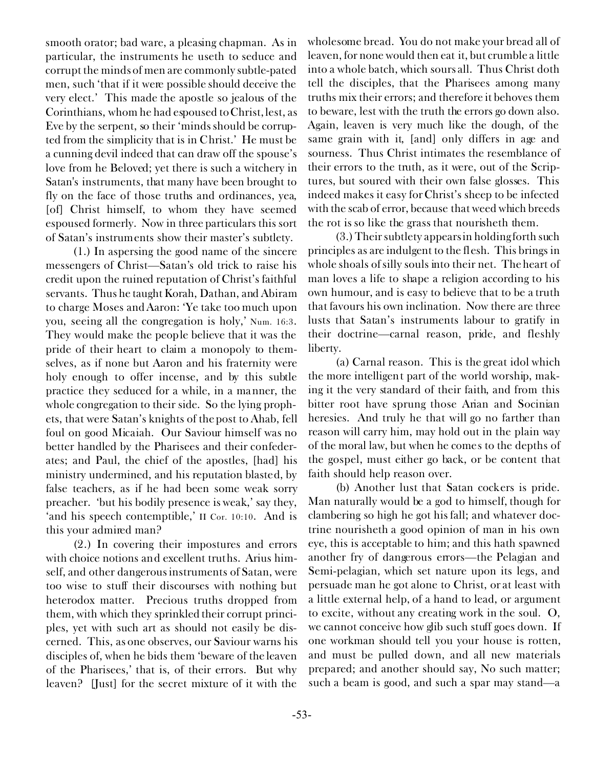smooth orator; bad ware, a pleasing chapman. As in particular, the instruments he useth to seduce and corrupt the minds of men are commonly subtle-pated men, such 'that if it were possible should deceive the very elect.' This made the apostle so jealous of the Corinthians, whom he had espoused to Christ, lest, as Eve by the serpent, so their 'minds should be corrupted from the simplicity that is in Christ.' He must be a cunning devil indeed that can draw off the spouse's love from he Beloved; yet there is such a witchery in Satan's instruments, that many have been brought to fly on the face of those truths and ordinances, yea, [of] Christ himself, to whom they have seemed espoused formerly. Now in three particulars this sort of Satan's instruments show their master's subtlety.

(1.) In aspersing the good name of the sincere messengers of Christ—Satan's old trick to raise his credit upon the ruined reputation of Christ's faithful servants. Thus he taught Korah, Dathan, and Abiram to charge Moses and Aaron: 'Ye take too much upon you, seeing all the congregation is holy,' Num. 16:3. They would make the people believe that it was the pride of their heart to claim a monopoly to themselves, as if none but Aaron and his fraternity were holy enough to offer incense, and by this subtle practice they seduced for a while, in a manner, the whole congregation to their side. So the lying prophets, that were Satan's knights of the post to Ahab, fell foul on good Micaiah. Our Saviour himself was no better handled by the Pharisees and their confederates; and Paul, the chief of the apostles, [had] his ministry undermined, and his reputation blasted, by false teachers, as if he had been some weak sorry preacher. 'but his bodily presence is weak,' say they, 'and his speech contemptible,' II Cor. 10:10. And is this your admired man?

(2.) In covering their impostures and errors with choice notions and excellent truths. Arius himself, and other dangerous instruments of Satan, were too wise to stuff their discourses with nothing but heterodox matter. Precious truths dropped from them, with which they sprinkled their corrupt principles, yet with such art as should not easily be discerned. This, as one observes, our Saviour warns his disciples of, when he bids them 'beware of the leaven of the Pharisees,' that is, of their errors. But why leaven? [Just] for the secret mixture of it with the

wholesome bread. You do not make your bread all of leaven, for none would then eat it, but crumble a little into a whole batch, which sours all. Thus Christ doth tell the disciples, that the Pharisees among many truths mix their errors; and therefore it behoves them to beware, lest with the truth the errors go down also. Again, leaven is very much like the dough, of the same grain with it, [and] only differs in age and sourness. Thus Christ intimates the resemblance of their errors to the truth, as it were, out of the Scriptures, but soured with their own false glosses. This indeed makes it easy for Christ's sheep to be infected with the scab of error, because that weed which breeds the rot is so like the grass that nourisheth them.

(3.) Their subtlety appears in holding forth such principles as are indulgent to the flesh. This brings in whole shoals of silly souls into their net. The heart of man loves a life to shape a religion according to his own humour, and is easy to believe that to be a truth that favours his own inclination. Now there are three lusts that Satan's instruments labour to gratify in their doctrine—carnal reason, pride, and fleshly liberty.

*(a) Carnal reason.* This is the great idol which the more intelligent part of the world worship, making it the very standard of their faith, and from this bitter root have sprung those Arian and Socinian heresies. And truly he that will go no farther than reason will carry him, may hold out in the plain way of the moral law, but when he comes to the depths of the gospel, must either go back, or be content that faith should help reason over.

*(b)* Another lust that Satan cockers is *pride.* Man naturally would be a god to himself, though for clambering so high he got his fall; and whatever doctrine nourisheth a good opinion of man in his own eye, this is acceptable to him; and this hath spawned another fry of dangerous errors—the Pelagian and Semi-pelagian, which set nature upon its legs, and persuade man he got alone to Christ, or at least with a little external help, of a hand to lead, or argument to excite, without any creating work in the soul. O, we cannot conceive how glib such stuff goes down. If one workman should tell you your house is rotten, and must be pulled down, and all new materials prepared; and another should say, No such matter; such a beam is good, and such a spar may stand—a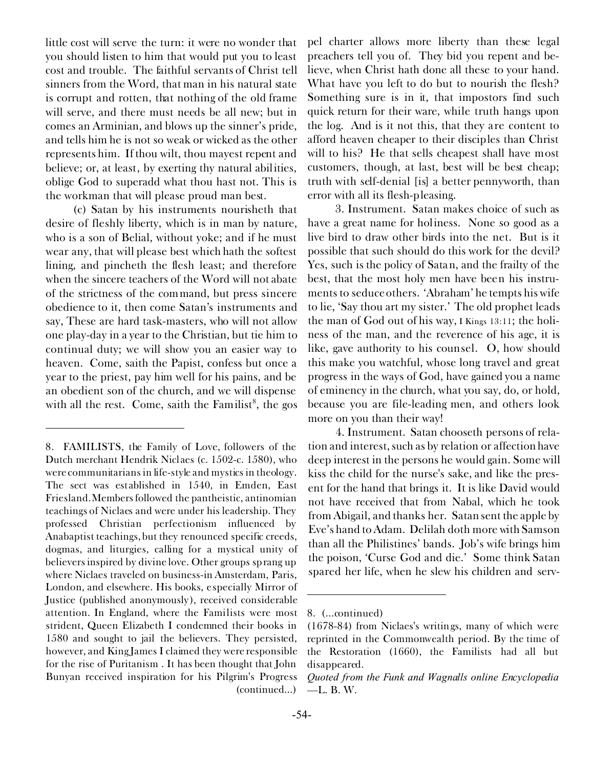little cost will serve the turn: it were no wonder that you should listen to him that would put you to least cost and trouble. The faithful servants of Christ tell sinners from the Word, that man in his natural state is corrupt and rotten, that nothing of the old frame will serve, and there must needs be all new; but in comes an Arminian, and blows up the sinner's pride, and tells him he is not so weak or wicked as the other represents him. If thou *wilt,* thou mayest repent and believe; or, at least, by exerting thy natural abilities, oblige God to superadd what thou hast not. This is the workman that will please proud man best.

*(c)* Satan by his instruments nourisheth that desire of *fleshly liberty,* which is in man by nature, who is a son of Belial, without yoke; and if he must wear any, that will please best which hath the softest lining, and pincheth the flesh least; and therefore when the sincere teachers of the Word will not abate of the strictness of the command, but press sincere obedience to it, then come Satan's instruments and say, These are hard task-masters, who will not allow one play-day in a year to the Christian, but tie him to continual duty; we will show you an easier way to heaven. Come, saith the Papist, confess but once a year to the priest, pay him well for his pains, and be an obedient son of the church, and we will dispense with all the rest. Come, saith the Familist $\delta$ , the gos

pel charter allows more liberty than these legal preachers tell you of. They bid you repent and believe, when Christ hath done all these to your hand. What have you left to do but to nourish the flesh? Something sure is in it, that impostors find such quick return for their ware, while truth hangs upon the log. And is it not this, that they are content to afford heaven cheaper to their disciples than Christ will to his? He that sells cheapest shall have most customers, though, at last, best will be best cheap; truth with self-denial [is] a better pennyworth, than error with all its flesh-pleasing.

3. *Instrument.* Satan makes choice of such as *have a great name for holiness.* None so good as a *live bird* to draw other birds into the net. But is it possible that such should do this work for the devil? Yes, such is the policy of Satan, and the frailty of the best, that the most holy men have been his instruments to seduce others. 'Abraham' he tempts his wife to lie, 'Say thou art my sister.' The old prophet leads the man of God out of his way, I Kings 13:11; the holiness of the man, and the reverence of his age, it is like, gave authority to his counsel. O, how should this make you watchful, whose long travel and great progress in the ways of God, have gained you a name of eminency in the church, what you say, do, or hold, because you are file-leading men, and others look more on you than their way!

4. *Instrument.* Satan chooseth *persons of relation and interest,* such as by relation or affection have deep interest in the persons he would gain. Some will kiss the child for the nurse's sake, and like the present for the hand that brings it. It is like David would not have received that from Nabal, which he took from Abigail, and thanks her. Satan sent the apple by Eve's hand to Adam. Delilah doth more with Samson than all the Philistines' bands. Job's wife brings him the poison, 'Curse God and die.' Some think Satan spared her life, when he slew his children and serv-

<sup>8.</sup> FAMILISTS, the Family of Love, followers of the Dutch merchant Hendrik Niclaes (c. 1502-c. 1580), who were communitarians in life-style and mystics in theology. The sect was established in 1540, in Emden, East Friesland. Members followed the pantheistic, antinomian teachings of Niclaes and were under his leadership. They professed Christian perfectionism influenced by Anabaptist teachings, but they renounced specific creeds, dogmas, and liturgies, calling for a mystical unity of believers inspired by divine love. Other groups sprang up where Niclaes traveled on business-in Amsterdam, Paris, London, and elsewhere. His books, especially Mirror of Justice (published anonymously), received considerable attention. In England, where the Familists were most strident, Queen Elizabeth I condemned their books in 1580 and sought to jail the believers. They persisted, however, and King James I claimed they were responsible for the rise of Puritanism . It has been thought that John Bunyan received inspiration for his Pilgrim's Progress (continued...)

<sup>8. (...</sup>continued)

<sup>(1678-84)</sup> from Niclaes's writings, many of which were reprinted in the Commonwealth period. By the time of the Restoration (1660), the Familists had all but disappeared.

*Quoted from the Funk and Wagnalls online Encyclopedia* —L. B. W.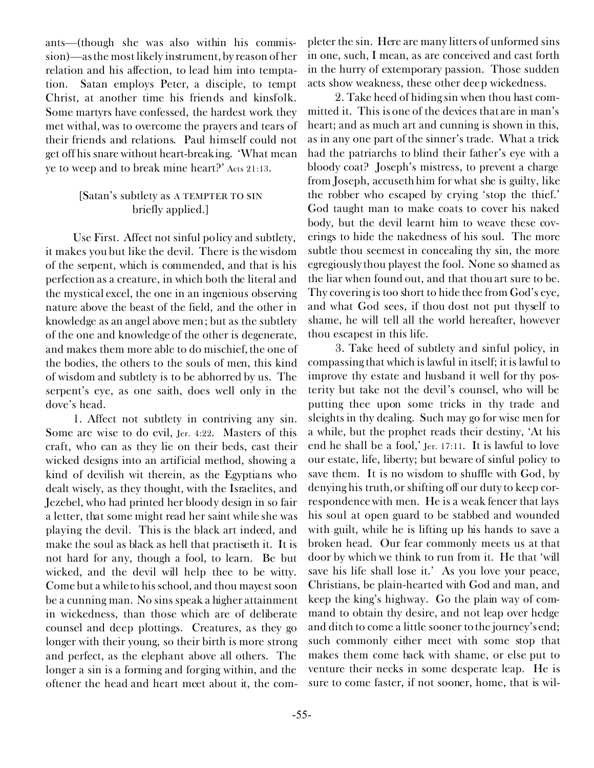ants—(though she was also within his commission)—as the most likely instrument, by reason of her relation and his affection, to lead him into temptation. Satan employs Peter, a disciple, to tempt Christ, at another time his friends and kinsfolk. Some martyrs have confessed, the hardest work they met withal, was to overcome the prayers and tears of their friends and relations. Paul himself could not get off his snare without heart-breaking. 'What mean ye to weep and to break mine heart?' Acts 21:13.

### *[Satan's subtlety as* A TEMPTER TO SIN *briefly applied.]*

*Use First.* Affect not sinful policy and subtlety, it makes you but like the devil. There is the wisdom of the serpent, which is commended, and that is his perfection as a creature, in which both the literal and the mystical excel, the one in an ingenious observing nature above the beast of the field, and the other in knowledge as an angel above men; but as the subtlety of the one and knowledge of the other is degenerate, and makes them more able to do mischief, the one of the bodies, the others to the souls of men, this kind of wisdom and subtlety is to be abhorred by us. The serpent's eye, as one saith, does well only in the dove's head.

1. Affect not subtlety in contriving any sin. Some are wise to do evil, Jer. 4:22. Masters of this craft, who can as they lie on their beds, cast their wicked designs into an artificial method, showing a kind of devilish wit therein, as the Egyptians who dealt wisely, as they thought, with the Israelites, and Jezebel, who had printed her bloody design in so fair a letter, that some might read her saint while she was playing the devil. This is the black art indeed, and make the soul as black as hell that practiseth it. It is not hard for any, though a fool, to learn. Be but wicked, and the devil will help thee to be witty. Come but a while to his school, and thou mayest soon be a cunning man. No sins speak a higher attainment in wickedness, than those which are of deliberate counsel and deep plottings. Creatures, as they go longer with their young, so their birth is more strong and perfect, as the elephant above all others. The longer a sin is a forming and forging within, and the oftener the head and heart meet about it, the com-

pleter the sin. Here are many litters of unformed sins in one, such, I mean, as are conceived and cast forth in the hurry of extemporary passion. Those sudden acts show weakness, these other deep wickedness.

2. Take heed of hiding sin when thou hast committed it. This is one of the devices that are in man's heart; and as much art and cunning is shown in this, as in any one part of the sinner's trade. What a trick had the patriarchs to blind their father's eye with a bloody coat? Joseph's mistress, to prevent a charge from Joseph, accuseth him for what she is guilty, like the robber who escaped by crying 'stop the thief.' God taught man to make coats to cover his naked body, but the devil learnt him to weave these coverings to hide the nakedness of his soul. The more subtle thou seemest in concealing thy sin, the more egregiously thou playest the fool. None so shamed as the liar when found out, and that thou art sure to be. Thy covering is too short to hide thee from God's eye, and what God sees, if thou dost not put thyself to shame, he will tell all the world hereafter, however thou escapest in this life.

3. Take heed of subtlety and sinful policy, in compassing that which is lawful in itself; it is lawful to improve thy estate and husband it well for thy posterity but take not the devil's counsel, who will be putting thee upon some tricks in thy trade and sleights in thy dealing. Such may go for wise men for a while, but the prophet reads their destiny, 'At his end he shall be a fool,' Jer. 17:11. It is lawful to love our estate, life, liberty; but beware of sinful policy to save them. It is no wisdom to shuffle with God, by denying his truth, or shifting off our duty to keep correspondence with men. He is a weak fencer that lays his soul at open guard to be stabbed and wounded with guilt, while he is lifting up his hands to save a broken head. Our fear commonly meets us at that door by which we think to run from it. He that 'will save his life shall lose it.' As you love your peace, Christians, be plain-hearted with God and man, and keep the king's highway. Go the plain way of command to obtain thy desire, and not leap over hedge and ditch to come a little sooner to the journey's end; such commonly either meet with some stop that makes them come back with shame, or else put to venture their necks in some desperate leap. He is sure to come faster, if not sooner, home, that is wil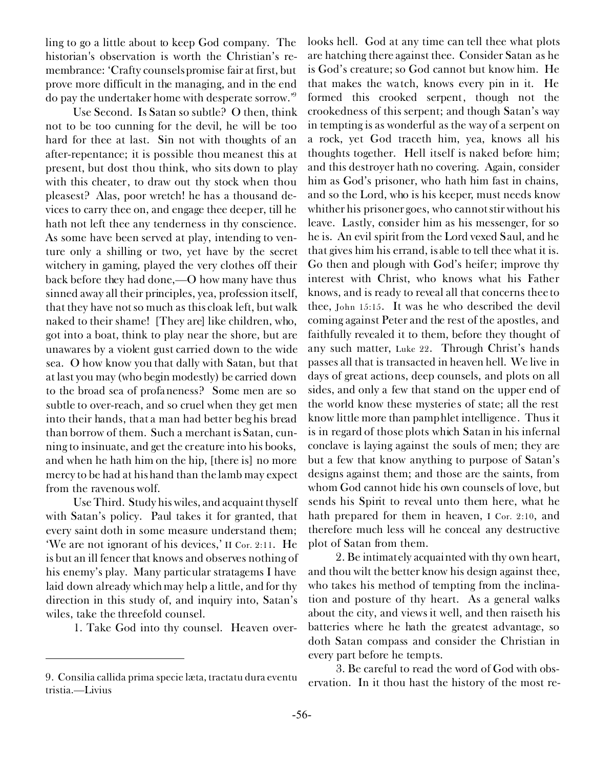ling to go a little about to keep God company. The historian's observation is worth the Christian's remembrance: 'Crafty counsels promise fair at first, but prove more difficult in the managing, and in the end do pay the undertaker home with desperate sorrow.'<sup>9</sup>

*Use Second.* Is Satan so subtle? O then, think not to be too cunning for the devil, he will be too hard for thee at last. Sin not with thoughts of an after-repentance; it is possible thou meanest this at present, but dost thou think, who sits down to play with this cheater, to draw out thy stock when thou pleasest? Alas, poor wretch! he has a thousand devices to carry thee on, and engage thee deeper, till he hath not left thee any tenderness in thy conscience. As some have been served at play, intending to venture only a shilling or two, yet have by the secret witchery in gaming, played the very clothes off their back before they had done,—O how many have thus sinned away all their principles, yea, profession itself, that they have not so much as this cloak left, but walk naked to their shame! [They are] like children, who, got into a boat, think to play near the shore, but are unawares by a violent gust carried down to the wide sea. O how know you that dally with Satan, but that at last you may (who begin modestly) be carried down to the broad sea of profaneness? Some men are so subtle to over-reach, and so cruel when they get men into their hands, that a man had better beg his bread than borrow of them. Such a merchant is Satan, cunning to insinuate, and get the creature into his books, and when he hath him on the hip, [there is] no more mercy to be had at his hand than the lamb may expect from the ravenous wolf.

*Use Third.* Study his wiles, and acquaint thyself with Satan's policy. Paul takes it for granted, that every saint doth in some measure understand them; 'We are not ignorant of his devices,' II Cor. 2:11. He is but an ill fencer that knows and observes nothing of his enemy's play. Many particular stratagems I have laid down already which may help a little, and for thy direction in this study of, and inquiry into, Satan's wiles, take the threefold counsel.

1. Take God into thy counsel. Heaven over-

looks hell. God at any time can tell thee what plots are hatching there against thee. Consider Satan as he is God's creature; *so* God cannot but know him. He that makes the watch, knows every pin in it. He formed this crooked serpent, though not the crookedness of this serpent; and though Satan's way in tempting is as wonderful as the way of a serpent on a rock, yet God traceth him, yea, knows all his thoughts together. Hell itself is naked before him; and this destroyer hath no covering. Again, consider him as God's prisoner, who hath him fast in chains, and so the Lord, who is his keeper, must needs know whither his prisoner goes, who cannot stir without his leave. Lastly, consider him as his messenger, for so he is. An evil spirit from the Lord vexed Saul, and he that gives him his errand, is able to tell thee what it is. Go then and plough with God's heifer; improve thy interest with Christ, who knows what his Father knows, and is ready to reveal all that concerns thee to thee, John 15:15. It was he who described the devil coming against Peter and the rest of the apostles, and faithfully revealed it to them, before they thought of any such matter, Luke 22. Through Christ's hands passes all that is transacted in heaven hell. We live in days of great actions, deep counsels, and plots on all sides, and only a few that stand on the upper end of the world know these mysteries of state; all the rest know little more than pamphlet intelligence. Thus it is in regard of those plots which Satan in his infernal conclave is laying against the souls of men; they are but a few that know anything to purpose of Satan's designs against them; and those are the saints, from whom God cannot hide his own counsels of love, but sends his Spirit to reveal unto them here, what he hath prepared for them in heaven, I Cor. 2:10, and therefore much less will he conceal any destructive plot of Satan from them.

2. Be intimately acquainted with thy own heart, and thou wilt the better know his design against thee, who takes his method of tempting from the inclination and posture of thy heart. As a general walks about the city, and views it well, and then raiseth his batteries where he hath the greatest advantage, so doth Satan compass and consider the Christian in every part before he tempts.

3. Be careful to read the word of God with observation. In it thou hast the history of the most re- 9. *Consilia callida prima specie læta, tractatu dura eventu*

*tristia.—Livius*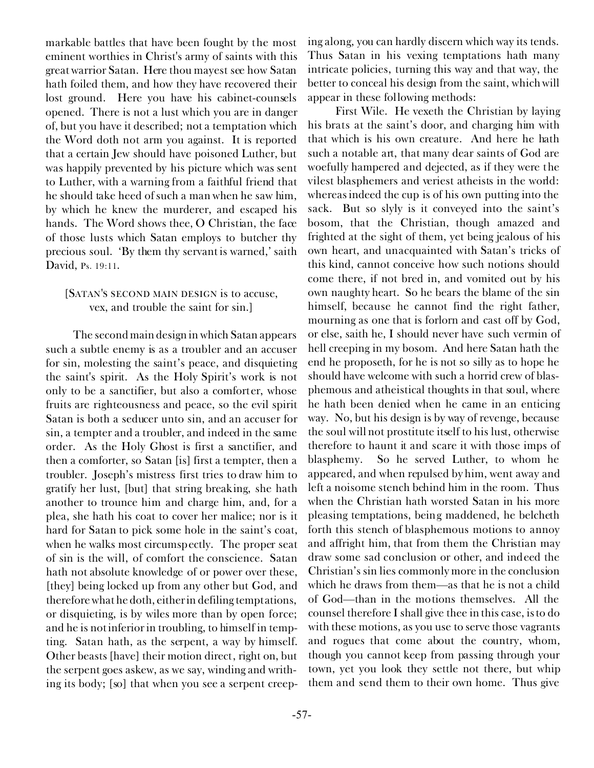markable battles that have been fought by the most eminent worthies in Christ's army of saints with this great warrior Satan. Here thou mayest see how Satan hath foiled them, and how they have recovered their lost ground. Here you have his cabinet-counsels opened. There is not a lust which you are in danger of, but you have it described; not a temptation which the Word doth not arm you against. It is reported that a certain Jew should have poisoned Luther, but was happily prevented by his picture which was sent to Luther, with a warning from a faithful friend that he should take heed of such a man when he saw him, by which he knew the murderer, and escaped his hands. The Word shows thee, O Christian, the face of those lusts which Satan employs to butcher thy precious soul. 'By them thy servant is warned,' saith David, Ps. 19:11.

# [SATAN'S SECOND MAIN DESIGN *is to accuse, vex, and trouble the saint for sin.]*

The second main design in which Satan appears such a subtle enemy is as a troubler and an accuser for sin, molesting the saint's peace, and disquieting the saint's spirit. As the Holy Spirit's work is not only to be a sanctifier, but also a comforter, whose fruits are righteousness and peace, so the evil spirit Satan is both a seducer unto sin, and an accuser for sin, a tempter and a troubler, and indeed in the same order. As the Holy Ghost is first a sanctifier, and then a comforter, so Satan [is] first a tempter, then a troubler. Joseph's mistress first tries to draw him to gratify her lust, [but] that string breaking, she hath another to trounce him and charge him, and, for a plea, she hath his coat to cover her malice; nor is it hard for Satan to pick some hole in the saint's coat, when he walks most circumspectly. The proper seat of sin is the will, of comfort the conscience. Satan hath not absolute knowledge of or power over these, [they] being locked up from any other but God, and therefore what he doth, either in defiling temptations, or disquieting, is by wiles more than by open force; and he is not inferior in troubling, to himself in tempting. Satan hath, as the serpent, a way by himself. Other beasts [have] their motion direct, right on, but the serpent goes askew, as we say, winding and writhing its body; [so] that when you see a serpent creeping along, you can hardly discern which way its tends. Thus Satan in his vexing temptations hath many intricate policies, turning this way and that way, the better to conceal his design from the saint, which will appear in these following methods:

*First Wile.* He *vexeth the Christian by laying his brats at the saint's door,* and charging him with that which is his own creature. And here he hath such a notable art, that many dear saints of God are woefully hampered and dejected, as if they were the vilest blasphemers and veriest atheists in the world: whereas indeed the cup is of his own putting into the sack. But so slyly is it conveyed into the saint's bosom, that the Christian, though amazed and frighted at the sight of them, yet being jealous of his own heart, and unacquainted with Satan's tricks of this kind, cannot conceive how such notions should come there, if not bred in, and vomited out by his own naughty heart. So he bears the blame of the sin himself, because he cannot find the right father, mourning as one that is forlorn and cast off by God, or else, saith he, I should never have such vermin of hell creeping in my bosom. And here Satan hath the end he proposeth, for he is not so silly as to hope he should have welcome with such a horrid crew of blasphemous and atheistical thoughts in that soul, where he hath been denied when he came in an enticing way. No, but his design is by way of revenge, because the soul will not prostitute itself to his lust, otherwise therefore to haunt it and scare it with those imps of blasphemy. So he served Luther, to whom he appeared, and when repulsed by him, went away and left a noisome stench behind him in the room. Thus when the Christian hath worsted Satan in his more pleasing temptations, being maddened, he belcheth forth this stench of blasphemous motions to annoy and affright him, that from them the Christian may draw some sad conclusion or other, and indeed the Christian's sin lies commonly more in the conclusion which he draws from them—as that he is not a child of God—than in the motions themselves. All the counsel therefore I shall give thee in this case, is to do with these motions, as you use to serve those vagrants and rogues that come about the country, whom, though you cannot keep from passing through your town, yet you look they settle not there, but whip them and send them to their own home. Thus give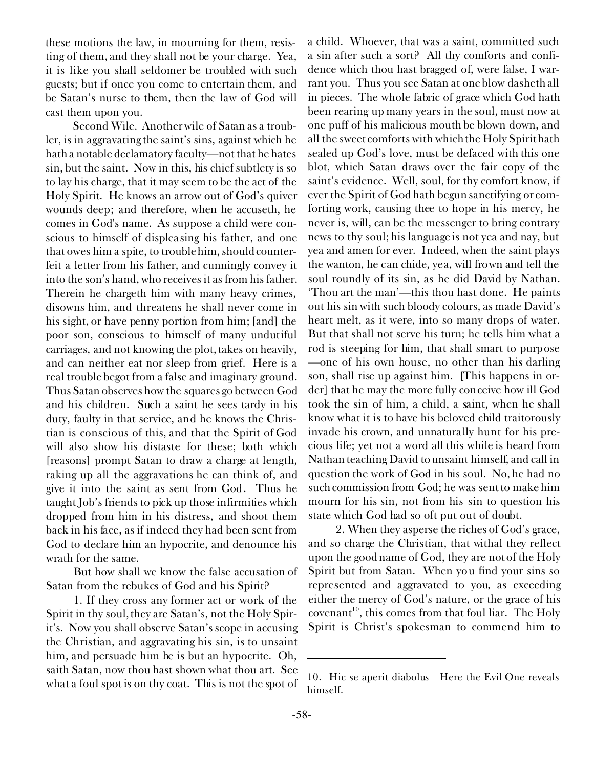these motions the law, in mourning for them, resisting of them, and they shall not be your charge. Yea, it is like you shall seldomer be troubled with such guests; but if once you come to entertain them, and be Satan's nurse to them, then the law of God will cast them upon you.

*Second Wile.* Another wile of Satan as a troubler, is *in aggravating the saint's sins,* against which he hath a notable declamatory faculty—not that he hates sin, but the saint. Now in this, his chief subtlety is so to lay his charge, that it may seem to be the act of the Holy Spirit. He knows an arrow out of God's quiver wounds deep; and therefore, when he accuseth, he comes in God's name. As suppose a child were conscious to himself of displeasing his father, and one that owes him a spite, to trouble him, should counterfeit a letter from his father, and cunningly convey it into the son's hand, who receives it as from his father. Therein he chargeth him with many heavy crimes, disowns him, and threatens he shall never come in his sight, or have penny portion from him; [and] the poor son, conscious to himself of many undutiful carriages, and not knowing the plot, takes on heavily, and can neither eat nor sleep from grief. Here is a real trouble begot from a false and imaginary ground. Thus Satan observes how the squares go between God and his children. Such a saint he sees tardy in his duty, faulty in that service, and he knows the Christian is conscious of this, and that the Spirit of God will also show his distaste for these; both which [reasons] prompt Satan to draw a charge at length, raking up all the aggravations he can think of, and give it into the saint as sent from God. Thus he taught Job's friends to pick up those infirmities which dropped from him in his distress, and shoot them back in his face, as if indeed they had been sent from God to declare him an hypocrite, and denounce his wrath for the same.

But how shall we know the false accusation of Satan from the rebukes of God and his Spirit?

1. If they cross any former act or work of the Spirit in thy soul, they are Satan's, not the Holy Spirit's. Now you shall observe Satan's scope in accusing the Christian, and aggravating his sin, is to unsaint him, and persuade him he is but an hypocrite. Oh, saith Satan, now thou hast shown what thou art. See what a foul spot is on thy coat. This is not the spot of

a child. Whoever, that was a saint, committed such a sin after such a sort? All thy comforts and confidence which thou hast bragged of, were false, I warrant you. Thus you see Satan at one blow dasheth all in pieces. The whole fabric of grace which God hath been rearing up many years in the soul, must now at one puff of his malicious mouth be blown down, and all the sweet comforts with which the Holy Spirit hath sealed up God's love, must be defaced with this one blot, which Satan draws over the fair copy of the saint's evidence. Well, soul, for thy comfort know, if ever the Spirit of God hath begun sanctifying or comforting work, causing thee to hope in his mercy, he never is, will, can be the messenger to bring contrary news to thy soul; his language is not yea and nay, but yea and amen for ever. Indeed, when the saint plays the wanton, he can chide, yea, will frown and tell the soul roundly of its sin, as he did David by Nathan. 'Thou art the man'—this thou hast done. He paints out his sin with such bloody colours, as made David's heart melt, as it were, into so many drops of water. But that shall not serve his turn; he tells him what a rod is steeping for him, that shall smart to purpose —one of his own house, no other than his darling son, shall rise up against him. [This happens in order] that he may the more fully conceive how ill God took the sin of him, a child, a saint, when he shall know what it is to have his beloved child traitorously invade his crown, and unnaturally hunt for his precious life; yet not a word all this while is heard from Nathan teaching David to unsaint himself, and call in question the work of God in his soul. No, he had no such commission from God; he was sent to make him mourn for his sin, not from his sin to question his state which God had so oft put out of doubt.

2. When they asperse the riches of God's grace, and so charge the Christian, that withal they reflect upon the good name of God, they are not of the Holy Spirit but from Satan. When you find your sins so represented and aggravated to you, as exceeding either the mercy of God's nature, or the grace of his  $covenant<sup>10</sup>$ , this comes from that foul liar. The Holy Spirit is Christ's spokesman to commend him to

<sup>10.</sup> *Hic se aperit diabolus—*Here the Evil One reveals himself.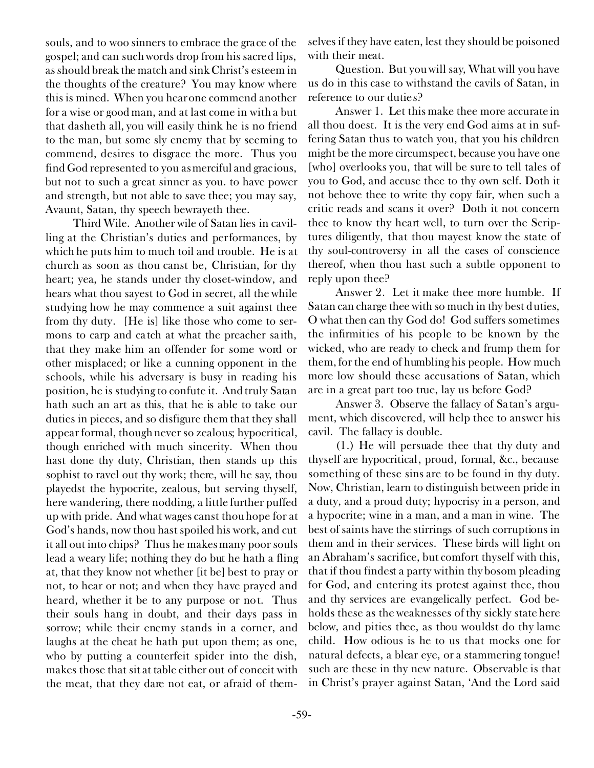souls, and to woo sinners to embrace the grace of the gospel; and can such words drop from his sacred lips, as should break the match and sink Christ's esteem in the thoughts of the creature? You may know where this is mined. When you hear one commend another for a wise or good man, and at last come in with a *but* that dasheth all, you will easily think he is no friend to the man, but some sly enemy that by seeming to commend, desires to disgrace the more. Thus you find God represented to you as merciful and gracious, but not to such a great sinner as you. to have power and strength, but not able to save thee; you may say, Avaunt, Satan, thy speech bewrayeth thee.

*Third Wile.* Another wile of Satan lies *in cavilling at the Christian's duties and performances,* by which he puts him to much toil and trouble. He is at church as soon as thou canst be, Christian, for thy heart; yea, he stands under thy closet-window, and hears what thou sayest to God in secret, all the while studying how he may commence a suit against thee from thy duty. [He is] like those who come to sermons to carp and catch at what the preacher saith, that they make him an offender for some word or other misplaced; or like a cunning opponent in the schools, while his adversary is busy in reading his position, he is studying to confute it. And truly Satan hath such an art as this, that he is able to take our duties in pieces, and so disfigure them that they shall appear formal, though never so zealous; hypocritical, though enriched with much sincerity. When thou hast done thy duty, Christian, then stands up this sophist to ravel out thy work; there, will he say, thou playedst the hypocrite, zealous, but serving thyself, here wandering, there nodding, a little further puffed up with pride. And what wages canst thou hope for at God's hands, now thou hast spoiled his work, and cut it all out into chips? Thus he makes many poor souls lead a weary life; nothing they do but he hath a fling at, that they know not whether [it be] best to pray or not, to hear or not; and when they have prayed and heard, whether it be to any purpose or not. Thus their souls hang in doubt, and their days pass in sorrow; while their enemy stands in a corner, and laughs at the cheat he hath put upon them; as one, who by putting a counterfeit spider into the dish, makes those that sit at table either out of conceit with the meat, that they dare not eat, or afraid of themselves if they have eaten, lest they should be poisoned with their meat.

*Question.* But you will say, What will you have us do in this case to withstand the cavils of Satan, in reference to our duties?

*Answer* 1. Let this make thee more accurate in all thou doest. It is the very end God aims at in suffering Satan thus to watch you, that you his children might be the more circumspect, because you have one [who] overlooks you, that will be sure to tell tales of you to God, and accuse thee to thy own self. Doth it not behove thee to write thy copy fair, when such a critic reads and scans it over? Doth it not concern thee to know thy heart well, to turn over the Scriptures diligently, that thou mayest know the state of thy soul-controversy in all the cases of conscience thereof, when thou hast such a subtle opponent to reply upon thee?

*Answer* 2. Let it make thee more humble. If Satan can charge thee with so much in thy best duties, O what then can thy God do! God suffers sometimes the infirmities of his people to be known by the wicked, who are ready to check and frump them for them, for the end of humbling his people. How much more low should these accusations of Satan, which are in a great part too true, lay us before God?

*Answer* 3. Observe the fallacy of Satan's argument, which discovered, will help thee to answer his cavil. The fallacy is double.

(1.) He will persuade thee that thy duty and thyself are hypocritical, proud, formal, &c., because something of these sins are to be found in thy duty. Now, Christian, learn to distinguish between pride in a duty, and a proud duty; hypocrisy in a person, and a hypocrite; wine in a man, and a man in wine. The best of saints have the stirrings of such corruptions in them and in their services. These birds will light on an Abraham's sacrifice, but comfort thyself with this, that if thou findest a party within thy bosom pleading for God, and entering its protest against thee, thou and thy services are evangelically perfect. God beholds these as the weaknesses of thy sickly state here below, and pities thee, as thou wouldst do thy lame child. How odious is he to us that mocks one for natural defects, a blear eye, or a stammering tongue! such are these in thy new nature. Observable is that in Christ's prayer against Satan, 'And the Lord said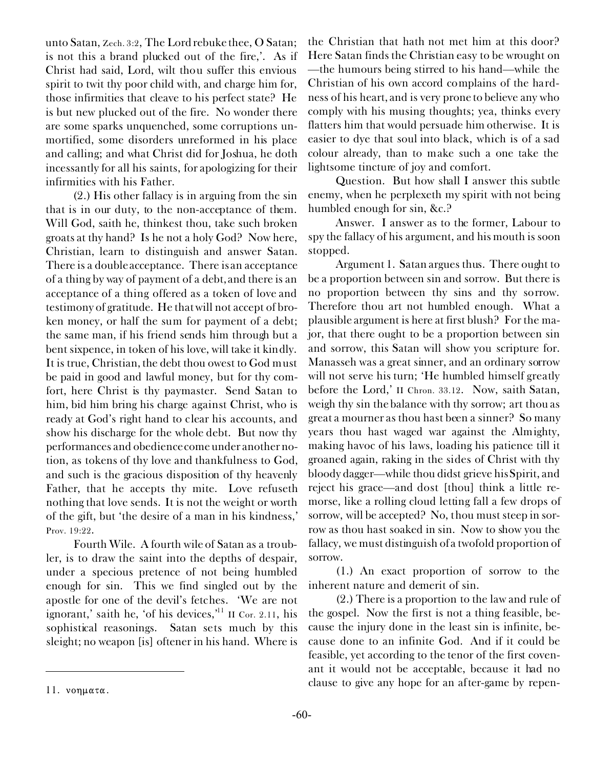unto Satan, Zech. 3:2, The Lord rebuke thee, O Satan; is not this a brand plucked out of the fire,'. As if Christ had said, Lord, wilt thou suffer this envious spirit to twit thy poor child with, and charge him for, those infirmities that cleave to his perfect state? He is but new plucked out of the fire. No wonder there are some sparks unquenched, some corruptions unmortified, some disorders unreformed in his place and calling; and what Christ did for Joshua, he doth incessantly for all his saints, for apologizing for their infirmities with his Father.

(2.) His other fallacy is in arguing from the sin that is in our duty, to the non-acceptance of them. Will God, saith he, thinkest thou, take such broken groats at thy hand? Is he not a holy God? Now here, Christian, learn to distinguish and answer Satan. There is a double acceptance. There is an acceptance of a thing by way of payment of a debt, and there is an acceptance of a thing offered as a token of love and testimony of gratitude. He that will not accept of broken money, or half the sum for payment of a debt; the same man, if his friend sends him through but a bent sixpence, in token of his love, will take it kindly. It is true, Christian, the debt thou owest to God must be paid in good and lawful money, but for thy comfort, here Christ is thy paymaster. Send Satan to him, bid him bring his charge against Christ, who is ready at God's right hand to clear his accounts, and show his discharge for the whole debt. But now thy performances and obedience come under another notion, as tokens of thy love and thankfulness to God, and such is the gracious disposition of thy heavenly Father, that he accepts thy mite. Love refuseth nothing that love sends. It is not the weight or worth of the gift, but 'the desire of a man in his kindness,' Prov. 19:22.

*Fourth Wile.* A fourth wile of Satan as a troubler, *is to draw the saint into the depths of despair,* under a specious pretence of not being humbled enough for sin. This we find singled out by the apostle for one of the devil's fetches. 'We are not ignorant,' saith he, 'of his devices, $11$  II Cor. 2.11, his sophistical reasonings. Satan sets much by this sleight; no weapon [is] oftener in his hand. Where is the Christian that hath not met him at this door? Here Satan finds the Christian easy to be wrought on —the humours being stirred to his hand—while the Christian of his own accord complains of the hardness of his heart, and is very prone to believe any who comply with his musing thoughts; yea, thinks every flatters him that would persuade him otherwise. It is easier to dye that soul into black, which is of a sad colour already, than to make such a one take the lightsome tincture of joy and comfort.

*Question.* But how shall I answer this subtle enemy, when he perplexeth my spirit with not being humbled enough for sin, &c.?

*Answer.* I answer as to the former, Labour to spy the fallacy of his argument, and his mouth is soon stopped.

*Argument* 1. Satan argues thus. There ought to be a proportion between sin and sorrow. But there is no proportion between thy sins and thy sorrow. Therefore thou art not humbled enough. What a plausible argument is here at first blush? For the major, that there ought to be a proportion between sin and sorrow, this Satan will show you scripture for. Manasseh was a great sinner, and an ordinary sorrow will not serve his turn; 'He humbled himself greatly before the Lord,' II Chron. 33.12. Now, saith Satan, weigh thy sin the balance with thy sorrow; art thou as great a mourner as thou hast been a sinner? So many years thou hast waged war against the Almighty, making havoc of his laws, loading his patience till it groaned again, raking in the sides of Christ with thy bloody dagger—while thou didst grieve his Spirit, and reject his grace—and dost [thou] think a little remorse, like a rolling cloud letting fall a few drops of sorrow, will be accepted? No, thou must steep in sorrow as thou hast soaked in sin. Now to show you the fallacy, we must distinguish of a twofold proportion of sorrow.

(1.) An exact proportion of sorrow to the inherent nature and demerit of sin.

(2.) There is a proportion to the law and rule of the gospel. Now the first is not a thing feasible, because the injury done in the least sin is infinite, because done to an infinite God. And if it could be feasible, yet according to the tenor of the first covenant it would not be acceptable, because it had no clause to give any hope for an after-game by repen-<br>11. *vonματα*.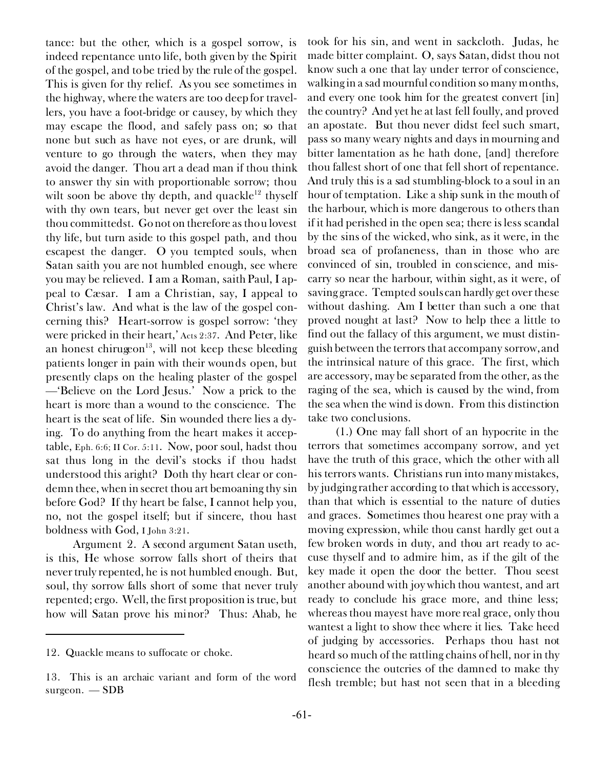tance: but the other, which is a gospel sorrow, is indeed repentance unto life, both given by the Spirit of the gospel, and to be tried by the rule of the gospel. This is given for thy relief. As you see sometimes in the highway, where the waters are too deep for travellers, you have a foot-bridge or causey, by which they may escape the flood, and safely pass on; so that none but such as have not eyes, or are drunk, will venture to go through the waters, when they may avoid the danger. Thou art a dead man if thou think to answer thy sin with proportionable sorrow; thou wilt soon be above thy depth, and quackle<sup>12</sup> thyself with thy own tears, but never get over the least sin thou committedst. Go not on therefore as thou lovest thy life, but turn aside to this gospel path, and thou escapest the danger. O you tempted souls, when Satan saith you are not humbled enough, see where you may be relieved. I am a Roman, saith Paul, I appeal to Cæsar. I am a Christian, say, I appeal to Christ's law. And what is the law of the gospel concerning this? Heart-sorrow is gospel sorrow: 'they were pricked in their heart,' Acts 2:37. And Peter, like an honest chirugeon<sup>13</sup>, will not keep these bleeding patients longer in pain with their wounds open, but presently claps on the healing plaster of the gospel —'Believe on the Lord Jesus.' Now a prick to the heart is more than a wound to the conscience. The heart is the seat of life. Sin wounded there lies a dying. To do anything from the heart makes it acceptable, Eph. 6:6; II Cor. 5:11. Now, poor soul, hadst thou sat thus long in the devil's stocks if thou hadst understood this aright? Doth thy heart clear or condemn thee, when in secret thou art bemoaning thy sin before God? If thy heart be false, I cannot help you, no, not the gospel itself; but if sincere, thou hast boldness with God, I John 3:21.

*Argument* 2. A second argument Satan useth, is this, He whose sorrow falls short of theirs that never truly repented, he is not humbled enough. But, soul, thy sorrow falls short of some that never truly repented; *ergo.* Well, the first proposition is true, but how will Satan prove his minor? Thus: Ahab, he

took for his sin, and went in sackcloth. Judas, he made bitter complaint. O, says Satan, didst thou not know such a one that lay under terror of conscience, walking in a sad mournful condition so many months, and every one took him for the greatest convert [in] the country? And yet he at last fell foully, and proved an apostate. But thou never didst feel such smart, pass so many weary nights and days in mourning and bitter lamentation as he hath done, [and] therefore thou fallest short of one that fell short of repentance. And truly this is a sad stumbling-block to a soul in an hour of temptation. Like a ship sunk in the mouth of the harbour, which is more dangerous to others than if it had perished in the open sea; there is less scandal by the sins of the wicked, who sink, as it were, in the broad sea of profaneness, than in those who are convinced of sin, troubled in conscience, and miscarry so near the harbour, within sight, as it were, of saving grace. Tempted souls can hardly get over these without dashing. Am I better than such a one that proved nought at last? Now to help thee a little to find out the fallacy of this argument, we must distinguish between the terrors that accompany sorrow, and the intrinsical nature of this grace. The first, which are accessory, may be separated from the other, as the raging of the sea, which is caused by the wind, from the sea when the wind is down. From this distinction take two conclusions.

(1.) One may fall short of an hypocrite in the terrors that sometimes accompany sorrow, and yet have the truth of this grace, which the other with all his terrors wants. Christians run into many mistakes, by judging rather according to that which is accessory, than that which is essential to the nature of duties and graces. Sometimes thou hearest one pray with a moving expression, while thou canst hardly get out a few broken words in duty, and thou art ready to accuse thyself and to admire him, as if the gilt of the key made it open the door the better. Thou seest another abound with joy which thou wantest, and art ready to conclude his grace more, and thine less; whereas thou mayest have more real grace, only thou wantest a light to show thee where it lies. Take heed of judging by accessories. Perhaps thou hast not heard so much of the rattling chains of hell, nor in thy conscience the outcries of the damned to make thy flesh tremble; but hast not seen *that* in a bleeding

<sup>12.</sup> *Quackle* means to suffocate or choke.

<sup>13.</sup> This is an archaic variant and form of the word *surgeon.* — SDB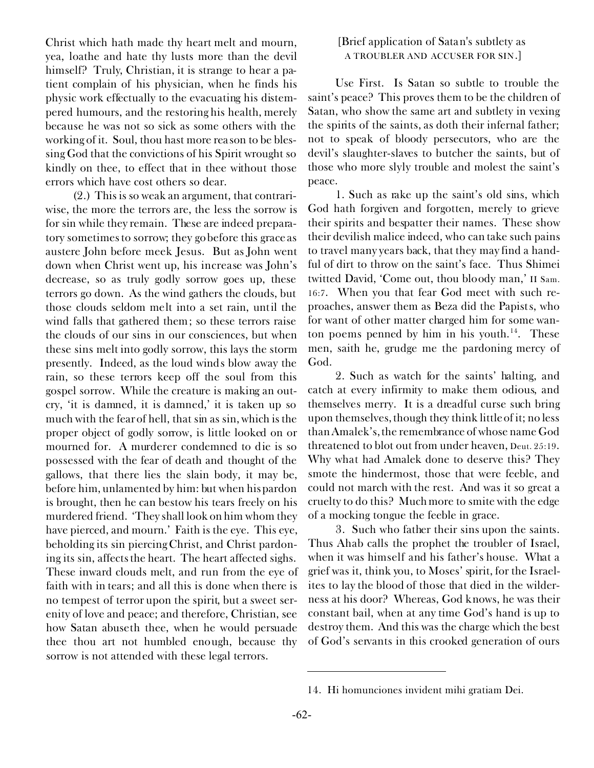Christ which hath made thy heart melt and mourn, yea, loathe and hate thy lusts more than the devil himself? Truly, Christian, it is strange to hear a patient complain of his physician, when he finds his physic work effectually to the evacuating his distempered humours, and the restoring his health, merely because he was not so sick as some others with the working of it. Soul, thou hast more reason to be blessing God that the convictions of his Spirit wrought so kindly on thee, to effect that in thee without those errors which have cost others so dear.

(2.) This is so weak an argument, that contrariwise, the more the terrors are, the less the sorrow is for sin while they remain. These are indeed preparatory sometimes to sorrow; they go before this grace as austere John before meek Jesus. But as John went down when Christ went up, his increase was John's decrease, so as truly godly sorrow goes up, these terrors go down. As the wind gathers the clouds, but those clouds seldom melt into a set rain, until the wind falls that gathered them; so these terrors raise the clouds of our sins in our consciences, but when these sins melt into godly sorrow, this lays the storm presently. Indeed, as the loud winds blow away the rain, so these terrors keep off the soul from this gospel sorrow. While the creature is making an outcry, 'it is damned, it is damned,' it is taken up so much with the fear of hell, that sin as sin, which is the proper object of godly sorrow, is little looked on or mourned for. A murderer condemned to die is so possessed with the fear of death and thought of the gallows, that there lies the slain body, it may be, before him, unlamented by him: but when his pardon is brought, then he can bestow his tears freely on his murdered friend. 'They shall look on him whom they have pierced, and mourn.' Faith is the eye. This eye, beholding its sin piercing Christ, and Christ pardoning its sin, affects the heart. The heart affected sighs. These inward clouds melt, and run from the eye of faith with in tears; and all this is done when there is no tempest of terror upon the spirit, but a sweet serenity of love and peace; and therefore, Christian, see how Satan abuseth thee, when he would persuade thee thou art not humbled enough, because thy sorrow is not attended with these legal terrors.

## *[Brief application of Satan's subtlety as*  A TROUBLER AND ACCUSER FOR SIN.]

*Use First.* Is Satan so subtle to trouble the saint's peace? This proves them to be the children of Satan, who show the same art and subtlety in vexing the spirits of the saints, as doth their infernal father; not to speak of bloody persecutors, who are the devil's slaughter-slaves to butcher the saints, but of those who more slyly trouble and molest the saint's peace.

1. Such as rake up the saint's old sins, which God hath forgiven and forgotten, merely to grieve their spirits and bespatter their names. These show their devilish malice indeed, who can take such pains to travel many years back, that they may find a handful of dirt to throw on the saint's face. Thus Shimei twitted David, 'Come out, thou bloody man,' II Sam. 16:7. When you that fear God meet with such reproaches, answer them as Beza did the Papists, who for want of other matter charged him for some wanton poems penned by him in his youth.<sup>14</sup>. These men, saith he, grudge me the pardoning mercy of God.

2. Such as watch for the saints' halting, and catch at every infirmity to make them odious, and themselves merry. It is a dreadful curse such bring upon themselves, though they think little of it; no less than Amalek's, the remembrance of whose name God threatened to blot out from under heaven, Deut. 25:19. Why what had Amalek done to deserve this? They smote the hindermost, those that were feeble, and could not march with the rest. And was it so great a cruelty to do this? Much more to smite with the edge of a mocking tongue the feeble in grace.

3. Such who father their sins upon the saints. Thus Ahab calls the prophet the troubler of Israel, when it was himself and his father's house. What a grief was it, think you, to Moses' spirit, for the Israelites to lay the blood of those that died in the wilderness at his door? Whereas, God knows, he was their constant bail, when at any time God's hand is up to destroy them. And this was the charge which the best of God's servants in this crooked generation of ours

<sup>14.</sup> *Hi homunciones invident mihi gratiam Dei.*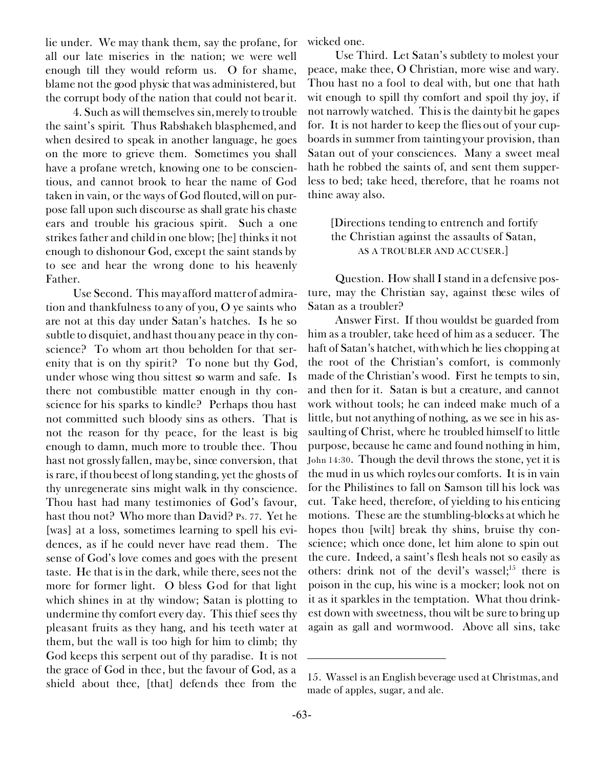lie under. We may thank them, say the profane, for all our late miseries in the nation; we were well enough till they would reform us. O for shame, blame not the good physic that was administered, but the corrupt body of the nation that could not bear it.

4. Such as will themselves sin, merely to trouble the saint's spirit. Thus Rabshakeh blasphemed, and when desired to speak in another language, he goes on the more to grieve them. Sometimes you shall have a profane wretch, knowing one to be conscientious, and cannot brook to hear the name of God taken in vain, or the ways of God flouted, will on purpose fall upon such discourse as shall grate his chaste ears and trouble his gracious spirit. Such a one strikes father and child in one blow; [he] thinks it not enough to dishonour God, except the saint stands by to see and hear the wrong done to his heavenly Father.

*Use Second.* This may afford matter of admiration and thankfulness to any of you, O ye saints who are not at this day under Satan's hatches. Is he so subtle to disquiet, and hast thou any peace in thy conscience? To whom art thou beholden for that serenity that is on thy spirit? To none but thy God, under whose wing thou sittest so warm and safe. Is there not combustible matter enough in thy conscience for his sparks to kindle? Perhaps thou hast not committed such bloody sins as others. That is not the reason for thy peace, for the least is big enough to damn, much more to trouble thee. Thou hast not grossly fallen, may be, since conversion, that is rare, if thou beest of long standing, yet the ghosts of thy unregenerate sins might walk in thy conscience. Thou hast had many testimonies of God's favour, hast thou not? Who more than David? Ps. 77. Yet he [was] at a loss, sometimes learning to spell his evidences, as if he could never have read them. The sense of God's love comes and goes with the present taste. He that is in the dark, while there, sees not the more for former light. O bless God for that light which shines in at thy window; Satan is plotting to undermine thy comfort every day. This thief sees thy pleasant fruits as they hang, and his teeth water at them, but the wall is too high for him to climb; thy God keeps this serpent out of thy paradise. It is not the grace of God in thee, but the favour of God, as a shield about thee, [that] defends thee from the

wicked one.

*Use Third.* Let Satan's subtlety to molest your peace, make thee, O Christian, more wise and wary. Thou hast no a fool to deal with, but one that hath wit enough to spill thy comfort and spoil thy joy, if not narrowly watched. This is the dainty bit he gapes for. It is not harder to keep the flies out of your cupboards in summer from tainting your provision, than Satan out of your consciences. Many a sweet meal hath he robbed the saints of, and sent them supperless to bed; take heed, therefore, that he roams not thine away also.

*[Directions tending to entrench and fortify the Christian against the assaults of Satan,* AS A TROUBLER AND ACCUSER.]

*Question.* How shall I stand in a defensive posture, may the Christian say, against these wiles of Satan as a troubler?

*Answer First.* If thou wouldst be guarded from him as a troubler, *take heed of him as a seducer.* The haft of Satan's hatchet, with which he lies chopping at the root of the Christian's comfort, is commonly made of the Christian's wood. First he tempts *to* sin, and then *for* it. Satan is but a creature, and cannot work without tools; he can indeed make much of a little, but not anything of nothing, as we see in his assaulting of Christ, where he troubled himself to little purpose, because he came and found nothing in him, John 14:30. Though the devil throws the stone, yet it is the mud in us which royles our comforts. It is in vain for the Philistines to fall on Samson till his lock was cut. Take heed, therefore, of yielding to his enticing motions. These are the stumbling-blocks at which he hopes thou [wilt] break thy shins, bruise thy conscience; which once done, let him alone to spin out the cure. Indeed, a saint's flesh heals not so easily as others: drink not of the devil's wassel;<sup>15</sup> there is poison in the cup, his wine is a mocker; look not on it as it sparkles in the temptation. What thou drinkest down with sweetness, thou wilt be sure to bring up again as gall and wormwood. Above all sins, take

<sup>15.</sup> *Wassel* is an English beverage used at Christmas, and made of apples, sugar, and ale.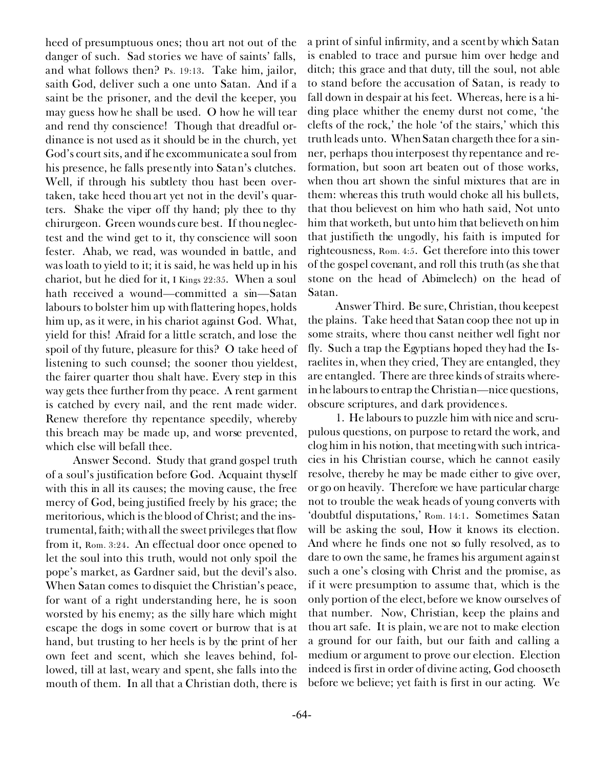heed of presumptuous ones; thou art not out of the danger of such. Sad stories we have of saints' falls, and what follows then? Ps. 19:13. Take him, jailor, saith God, deliver such a one unto Satan. And if a saint be the prisoner, and the devil the keeper, you may guess how he shall be used. O how he will tear and rend thy conscience! Though that dreadful ordinance is not used as it should be in the church, yet God's court sits, and if he excommunicate a soul from his presence, he falls presently into Satan's clutches. Well, if through his subtlety thou hast been overtaken, take heed thou art yet not in the devil's quarters. Shake the viper off thy hand; ply thee to thy chirurgeon. Green wounds cure best. If thou neglectest and the wind get to it, thy conscience will soon fester. Ahab, we read, was wounded in battle, and was loath to yield to it; it is said, he was held up in his chariot, but he died for it, I Kings 22:35. When a soul hath received a wound—committed a sin—Satan labours to bolster him up with flattering hopes, holds him up, as it were, in his chariot against God. What, yield for this! Afraid for a little scratch, and lose the spoil of thy future, pleasure for this? O take heed of listening to such counsel; the sooner thou yieldest, the fairer quarter thou shalt have. Every step in this way gets thee further from thy peace. A rent garment is catched by every nail, and the rent made wider. Renew therefore thy repentance speedily, whereby this breach may be made up, and worse prevented, which else will befall thee.

*Answer Second.* Study that grand gospel truth of *a soul's justification before God.* Acquaint thyself with this in all its causes; the moving cause, the free mercy of God, being justified freely by his grace; the meritorious, which is the blood of Christ; and the instrumental, faith; with all the sweet privileges that flow from it, Rom. 3:24. An effectual door once opened to let the soul into this truth, would not only spoil the pope's market, as Gardner said, but the devil's also. When Satan comes to disquiet the Christian's peace, for want of a right understanding here, he is soon worsted by his enemy; as the silly hare which might escape the dogs in some covert or burrow that is at hand, but trusting to her heels is by the print of her own feet and scent, which she leaves behind, followed, till at last, weary and spent, she falls into the mouth of them. In all that a Christian doth, there is

a print of sinful infirmity, and a scent by which Satan is enabled to trace and pursue him over hedge and ditch; this grace and that duty, till the soul, not able to stand before the accusation of Satan, is ready to fall down in despair at his feet. Whereas, here is a hiding place whither the enemy durst not come, 'the clefts of the rock,' the hole 'of the stairs,' which this truth leads unto. When Satan chargeth thee for a sinner, perhaps thou interposest thy repentance and reformation, but soon art beaten out of those works, when thou art shown the sinful mixtures that are in them: whereas this truth would choke all his bullets, that thou believest on him who hath said, Not unto him that worketh, but unto him that believeth on him that justifieth the ungodly, his faith is imputed for righteousness, Rom. 4:5. Get therefore into this tower of the gospel covenant, and roll this truth (as she that stone on the head of Abimelech) on the head of Satan.

*Answer Third.* Be sure, Christian, *thou keepest the plains.* Take heed that Satan coop thee not up in some straits, where thou canst neither well fight nor fly. Such a trap the Egyptians hoped they had the Israelites in, when they cried, They are entangled, they are entangled. There are three kinds of straits wherein he labours to entrap the Christian—nice questions, obscure scriptures, and dark providences.

1. He labours to puzzle him with *nice and scrupulous questions,* on purpose to retard the work, and clog him in his notion, that meeting with such intricacies in his Christian course, which he cannot easily resolve, thereby he may be made either to give over, or go on heavily. Therefore we have particular charge not to trouble the weak heads of young converts with 'doubtful disputations,' Rom. 14:1. Sometimes Satan will be asking the soul, How it knows its election. And where he finds one not so fully resolved, as to dare to own the same, he frames his argument against such a one's closing with Christ and the promise, as if it were presumption to assume that, which is the only portion of the elect, before we know ourselves of that number. Now, Christian, keep the plains and thou art safe. It is plain, we are not to make election a ground for our faith, but our faith and calling a medium or argument to prove our election. Election indeed is first in order of divine acting, God chooseth before we believe; yet faith is first in our acting. We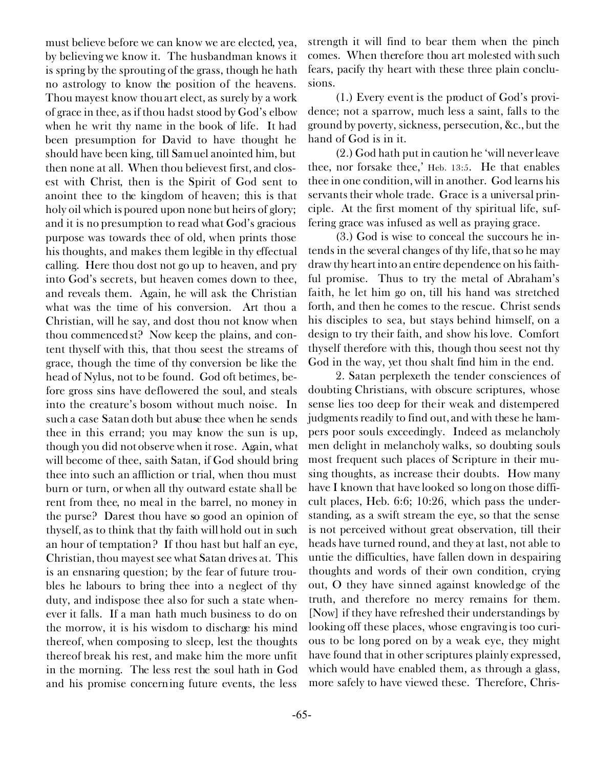must believe before we can know we are elected, yea, by believing we know it. The husbandman knows it is spring by the sprouting of the grass, though he hath no astrology to know the position of the heavens. Thou mayest know thou art elect, as surely by a work of grace in thee, as if thou hadst stood by God's elbow when he writ thy name in the book of life. It had been presumption for David to have thought he should have been king, till Samuel anointed him, but then none at all. When thou believest first, and closest with Christ, then is the Spirit of God sent to anoint thee to the kingdom of heaven; this is that holy oil which is poured upon none but heirs of glory; and it is no presumption to read what God's gracious purpose was towards thee of old, when prints those his thoughts, and makes them legible in thy effectual calling. Here thou dost not go up to heaven, and pry into God's secrets, but heaven comes down to thee, and reveals them. Again, he will ask the Christian what was the time of his conversion. Art thou a Christian, will he say, and dost thou not know when thou commencedst? Now keep the plains, and content thyself with this, that thou seest the streams of grace, though the time of thy conversion be like the head of Nylus, not to be found. God oft betimes, before gross sins have deflowered the soul, and steals into the creature's bosom without much noise. In such a case Satan doth but abuse thee when he sends thee in this errand; you may know the sun is up, though you did not observe when it rose. Again, what will become of thee, saith Satan, if God should bring thee into such an affliction or trial, when thou must burn or turn, or when all thy outward estate shall be rent from thee, no meal in the barrel, no money in the purse? Darest thou have so good an opinion of thyself, as to think that thy faith will hold out in such an hour of temptation? If thou hast but half an eye, Christian, thou mayest see what Satan drives at. This is an ensnaring question; by the fear of future troubles he labours to bring thee into a neglect of thy duty, and indispose thee also for such a state whenever it falls. If a man hath much business to do on the morrow, it is his wisdom to discharge his mind thereof, when composing to sleep, lest the thoughts thereof break his rest, and make him the more unfit in the morning. The less rest the soul hath in God and his promise concerning future events, the less

strength it will find to bear them when the pinch comes. When therefore thou art molested with such fears, pacify thy heart with these three plain conclusions.

(1.) Every event is the product of God's providence; not a sparrow, much less a saint, falls to the ground by poverty, sickness, persecution, &c., but the hand of God is in it.

(2.) God hath put in caution he 'will never leave thee, nor forsake thee,' Heb. 13:5. He that enables thee in one condition, will in another. God learns his servants their whole trade. Grace is a universal principle. At the first moment of thy spiritual life, suffering grace was infused as well as praying grace.

(3.) God is wise to conceal the succours he intends in the several changes of thy life, that so he may draw thy heart into an entire dependence on his faithful promise. Thus to try the metal of Abraham's faith, he let him go on, till his hand was stretched forth, and then he comes to the rescue. Christ sends his disciples to sea, but stays behind himself, on a design to try their faith, and show his love. Comfort thyself therefore with this, though thou seest not thy God in the way, yet thou shalt find him in the end.

2. Satan perplexeth the tender consciences of doubting Christians, *with obscure scriptures,* whose sense lies too deep for their weak and distempered judgments readily to find out, and with these he hampers poor souls exceedingly. Indeed as melancholy men delight in melancholy walks, so doubting souls most frequent such places of Scripture in their musing thoughts, as increase their doubts. How many have I known that have looked so long on those difficult places, Heb. 6:6; 10:26, which pass the understanding, as a swift stream the eye, so that the sense is not perceived without great observation, till their heads have turned round, and they at last, not able to untie the difficulties, have fallen down in despairing thoughts and words of their own condition, crying out, O they have sinned against knowledge of the truth, and therefore no mercy remains for them. [Now] if they have refreshed their understandings by looking off these places, whose engraving is too curious to be long pored on by a weak eye, they might have found that in other scriptures plainly expressed, which would have enabled them, as through a glass, more safely to have viewed these. Therefore, Chris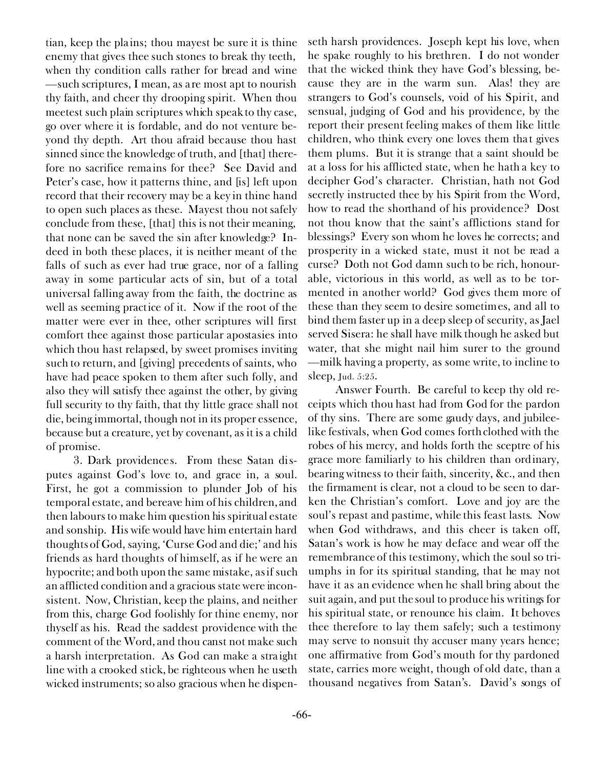tian, keep the plains; thou mayest be sure it is thine enemy that gives thee such stones to break thy teeth, when thy condition calls rather for bread and wine —such scriptures, I mean, as are most apt to nourish thy faith, and cheer thy drooping spirit. When thou meetest such plain scriptures which speak to thy case, go over where it is fordable, and do not venture beyond thy depth. Art thou afraid because thou hast sinned since the knowledge of truth, and [that] therefore no sacrifice remains for thee? See David and Peter's case, how it patterns thine, and [is] left upon record that their recovery may be a key in thine hand to open such places as these. Mayest thou not safely conclude from these, [that] this is not their meaning, that none can be saved the sin after knowledge? Indeed in both these places, it is neither meant of the falls of such as ever had true grace, nor of a falling away in some particular acts of sin, but of a total universal falling away from the faith, the doctrine as well as seeming practice of it. Now if the root of the matter were ever in thee, other scriptures will first comfort thee against those particular apostasies into which thou hast relapsed, by sweet promises inviting such to return, and [giving] precedents of saints, who have had peace spoken to them after such folly, and also they will satisfy thee against the other, by giving full security to thy faith, that thy little grace shall not die, being immortal, though not in its proper essence, because but a creature, yet by covenant, as it is a child of promise.

3. *Dark providences.* From these Satan disputes against God's love to, and grace in, a soul. First, he got a commission to plunder Job of his temporal estate, and bereave him of his children, and then labours to make him question his spiritual estate and sonship. His wife would have him entertain hard thoughts of God, saying, 'Curse God and die;' and his friends as hard thoughts of himself, as if he were an hypocrite; and both upon the same mistake, as if such an afflicted condition and a gracious state were inconsistent. Now, Christian, keep the plains, and neither from this, charge God foolishly for thine enemy, nor thyself as his. Read the saddest providence with the comment of the Word, and thou canst not make such a harsh interpretation. As God can make a straight line with a crooked stick, be righteous when he useth wicked instruments; so also gracious when he dispen-

cause they are in the warm sun. Alas! they are strangers to God's counsels, void of his Spirit, and sensual, judging of God and his providence, by the report their present feeling makes of them like little children, who think every one loves them that gives them plums. But it is strange that a saint should be at a loss for his afflicted state, when he hath a key to decipher God's character. Christian, hath not God secretly instructed thee by his Spirit from the Word, how to read the shorthand of his providence? Dost not thou know that the saint's afflictions stand for blessings? Every son whom he loves he corrects; and prosperity in a wicked state, must it not be read a curse? Doth not God damn such to be rich, honourable, victorious in this world, as well as to be tormented in another world? God gives them more of these than they seem to desire sometimes, and all to bind them faster up in a deep sleep of security, as Jael served Sisera: he shall have milk though he asked but water, that she might nail him surer to the ground —milk having a property, as some write, to incline to sleep, Jud. 5:25. *Answer Fourth.* Be careful to *keep thy old receipts* which thou hast had from God *for the pardon*

seth harsh providences. Joseph kept his love, when he spake roughly to his brethren. I do not wonder that the wicked think they have God's blessing, be-

*of thy sins.* There are some gaudy days, and jubileelike festivals, when God comes forth clothed with the robes of his mercy, and holds forth the sceptre of his grace more familiarly to his children than ordinary, bearing witness to their faith, sincerity, &c., and then the firmament is clear, not a cloud to be seen to darken the Christian's comfort. Love and joy are the soul's repast and pastime, while this feast lasts. Now when God withdraws, and this cheer is taken off, Satan's work is how he may deface and wear off the remembrance of this testimony, which the soul so triumphs in for its spiritual standing, that he may not have it as an evidence when he shall bring about the suit again, and put the soul to produce his writings for his spiritual state, or renounce his claim. It behoves thee therefore to lay them safely; such a testimony may serve to nonsuit thy accuser many years hence; one affirmative from God's mouth for thy pardoned state, carries more weight, though of old date, than a thousand negatives from Satan's. David's songs of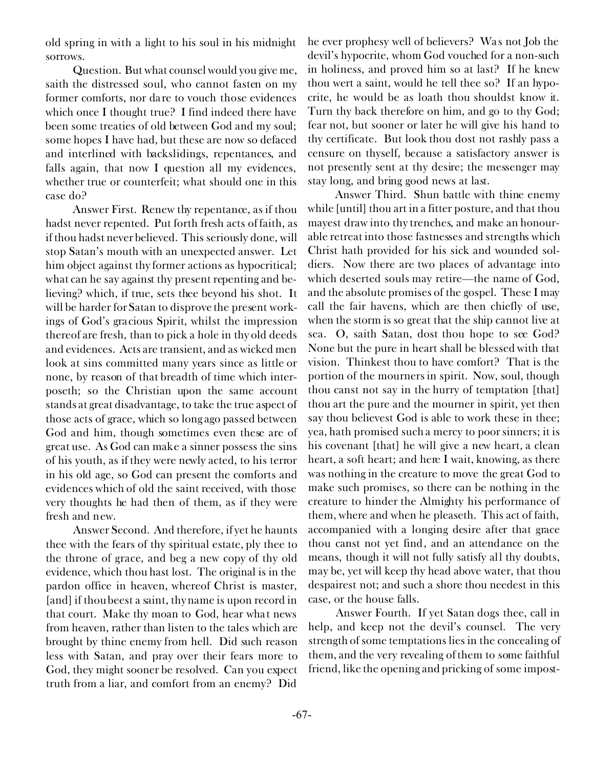old spring in with a light to his soul in his midnight sorrows.

*Question.* But what counsel would you give me, saith the distressed soul, who cannot fasten on my former comforts, nor dare to vouch those evidences which once I thought true? I find indeed there have been some treaties of old between God and my soul; some hopes I have had, but these are now so defaced and interlined with backslidings, repentances, and falls again, that now I question all my evidences, whether true or counterfeit; what should one in this case do?

*Answer First.* Renew thy repentance, as if thou hadst never repented. Put forth fresh acts of faith, as if thou hadst never believed. This seriously done, will stop Satan's mouth with an unexpected answer. Let him object against thy former actions as hypocritical; what can he say against thy present repenting and believing? which, if true, sets thee beyond his shot. It will be harder for Satan to disprove the present workings of God's gracious Spirit, whilst the impression thereof are fresh, than to pick a hole in thy old deeds and evidences. Acts are transient, and as wicked men look at sins committed many years since as little or none, by reason of that breadth of time which interposeth; so the Christian upon the same account stands at great disadvantage, to take the true aspect of those acts of grace, which so long ago passed between God and him, though sometimes even these are of great use. As God can make a sinner possess the sins of his youth, as if they were newly acted, to his terror in his old age, so God can present the comforts and evidences which of old the saint received, with those very thoughts he had then of them, as if they were fresh and new.

*Answer Second.* And therefore, if yet he haunts thee with the fears of thy spiritual estate, ply thee to the throne of grace, and beg a new copy of thy old evidence, which thou hast lost. The original is in the pardon office in heaven, whereof Christ is master, [and] if thou beest a saint, thy name is upon record in that court. Make thy moan to God, hear what news from heaven, rather than listen to the tales which are brought by thine enemy from hell. Did such reason less with Satan, and pray over their fears more to God, they might sooner be resolved. Can you expect truth from a liar, and comfort from an enemy? Did

he ever prophesy well of believers? Was not Job the devil's hypocrite, whom God vouched for a non-such in holiness, and proved him so at last? If he knew thou wert a saint, would he tell thee so? If an hypocrite, he would be as loath thou shouldst know it. Turn thy back therefore on him, and go to thy God; fear not, but sooner or later he will give his hand to thy certificate. But look thou dost not rashly pass a censure on thyself, because a satisfactory answer is not presently sent at thy desire; the messenger may stay long, and bring good news at last.

*Answer Third.* Shun battle with thine enemy while [until] thou art in a fitter posture, and that thou mayest draw into thy trenches, and make an honourable retreat into those fastnesses and strengths which Christ hath provided for his sick and wounded soldiers. Now there are two places of advantage into which deserted souls may retire—the name of God, and the absolute promises of the gospel. These I may call the fair havens, which are then chiefly of use, when the storm is so great that the ship cannot live at sea. O, saith Satan, dost thou hope to see God? None but the pure in heart shall be blessed with that vision. Thinkest thou to have comfort? That is the portion of the mourners in spirit. Now, soul, though thou canst not say in the hurry of temptation [that] thou art the pure and the mourner in spirit, yet then say thou believest God is able to work these in thee; yea, hath promised such a mercy to poor sinners; it is his covenant [that] he will give a new heart, a clean heart, a soft heart; and here I wait, knowing, as there was nothing in the creature to move the great God to make such promises, so there can be nothing in the creature to hinder the Almighty his performance of them, where and when he pleaseth. This act of faith, accompanied with a longing desire after that grace thou canst not yet find, and an attendance on the means, though it will not fully satisfy all thy doubts, may be, yet will keep thy head above water, that thou despairest not; and such a shore thou needest in this case, or the house falls.

*Answer Fourth.* If yet Satan dogs thee, call in help, and keep not the devil's counsel. The very strength of some temptations lies in the concealing of them, and the very revealing of them to some faithful friend, like the opening and pricking of some impost-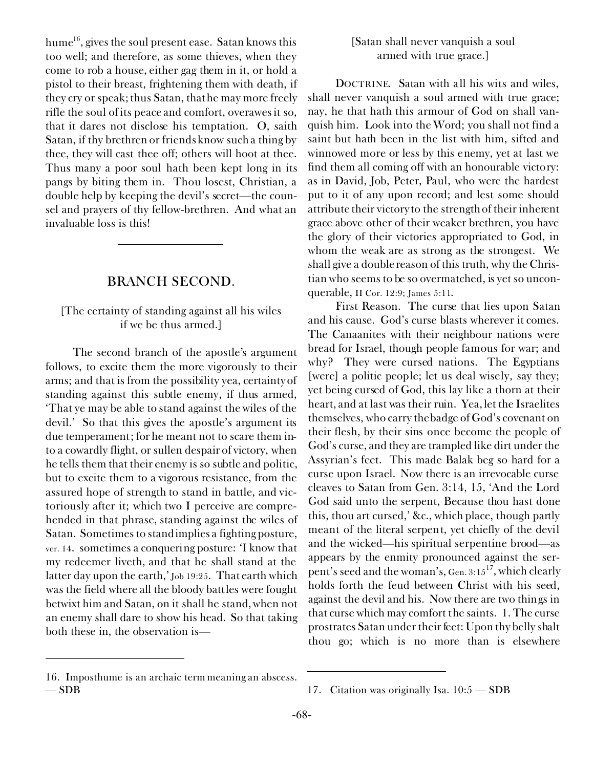hume $^{16}$ , gives the soul present ease. Satan knows this too well; and therefore, as some thieves, when they come to rob a house, either gag them in it, or hold a pistol to their breast, frightening them with death, if they cry or speak; thus Satan, that he may more freely rifle the soul of its peace and comfort, overawes it so, that it dares not disclose his temptation. O, saith Satan, if thy brethren or friends know such a thing by thee, they will cast thee off; others will hoot at thee. Thus many a poor soul hath been kept long in its pangs by biting them in. Thou losest, Christian, a double help by keeping the devil's secret—the counsel and prayers of thy fellow-brethren. And what an invaluable loss is this!

## BRANCH SECOND.

## *[The certainty of standing against all his wiles if we be thus armed.]*

The second branch of the apostle's argument follows, to excite them the more vigorously to their arms; and that is from the possibility yea, certainty of standing against this subtle enemy, if thus armed, *'That ye may be able to stand against the wiles of the devil.'* So that this gives the apostle's argument its due temperament; for he meant not to scare them into a cowardly flight, or sullen despair of victory, when he tells them that their enemy is so subtle and politic, but to excite them to a vigorous resistance, from the assured hope of strength to stand in battle, and victoriously after it; which two I perceive are comprehended in that phrase, standing against the wiles of Satan. Sometimes to stand implies a fighting posture, ver. 14. sometimes a conquering posture: 'I know *that* my redeemer liveth, and *that* he shall stand at the latter *day* upon the earth,' Job 19:25. That earth which was the field where all the bloody battles were fought betwixt him and Satan, on it shall he stand, when not an enemy shall dare to show his head. So that taking both these in, the observation is—

#### 16. *Imposthume* is an archaic term meaning an abscess. — SDB 17. Citation was originally Isa. 10:5 — SDB

### *[Satan shall never vanquish a soul armed with true grace.]*

DOCTRINE. Satan with all his wits and wiles, *shall never vanquish a soul armed with true grace;* nay, he that hath this armour of God on shall vanquish him. Look into the Word; you shall not find a saint but hath been in the list with him, sifted and winnowed more or less by this enemy, yet at last we find them all coming off with an honourable victory: as in David, Job, Peter, Paul, who were the hardest put to it of any upon record; and lest some should attribute their victory to the strength of their inherent grace above other of their weaker brethren, you have the glory of their victories appropriated to God, in whom the weak are as strong as the strongest. We shall give a double reason of this truth, why the Christian who seems to be so overmatched, is yet so unconquerable, II Cor. 12:9; James 5:11.

*First Reason.* The curse that lies upon Satan and his cause. God's curse blasts wherever it comes. The Canaanites with their neighbour nations were bread for Israel, though people famous for war; and why? They were cursed nations. The Egyptians [were] a politic people; let us deal wisely, say they; yet being cursed of God, this lay like a thorn at their heart, and at last was their ruin. Yea, let the Israelites themselves, who carry the badge of God's covenant on their flesh, by their sins once become the people of God's curse, and they are trampled like dirt under the Assyrian's feet. This made Balak beg so hard for a curse upon Israel. Now there is an irrevocable curse cleaves to Satan from Gen. 3:14, 15, 'And the Lord God said unto the serpent, Because thou hast done this, thou art cursed,' &c., which place, though partly meant of the literal serpent, yet chiefly of the devil and the wicked—his spiritual serpentine brood—as appears by the enmity pronounced against the serpent's seed and the woman's, Gen. 3:15<sup>17</sup>, which clearly holds forth the feud between Christ with his seed, against the devil and his. Now there are two things in that curse which may comfort the saints. 1. The curse prostrates Satan under their feet: Upon thy belly shalt thou go; which is no more than is elsewhere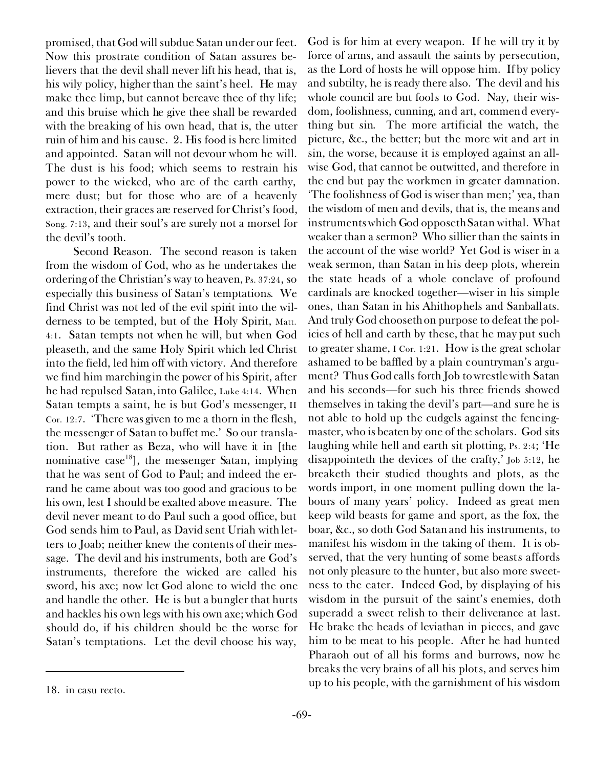promised, that God will subdue Satan under our feet. Now this prostrate condition of Satan assures believers that the devil shall never lift his head, that is, his wily policy, higher than the saint's heel. He may make thee limp, but cannot bereave thee of thy life; and this bruise which he give thee shall be rewarded with the breaking of his own head, that is, the utter ruin of him and his cause. 2. His food is here limited and appointed. Satan will not devour whom he will. The dust is his food; which seems to restrain his power to the wicked, who are of the earth earthy, mere dust; but for those who are of a heavenly extraction, their graces are reserved for Christ's food, Song. 7:13, and their soul's are surely not a morsel for the devil's tooth.

*Second Reason.* The second reason is taken from the wisdom of God, who as he undertakes the ordering of the Christian's way to heaven, Ps. 37:24, so especially this business of Satan's temptations. We find Christ was not led of the evil spirit into the wilderness to be tempted, but of the Holy Spirit, Matt. 4:1. Satan tempts not when he will, but when God pleaseth, and the same Holy Spirit which led Christ into the field, led him off with victory. And therefore we find him marching in the power of his Spirit, after he had repulsed Satan, into Galilee, Luke 4:14. When Satan tempts a saint, he is but God's messenger, II Cor. 12:7. 'There was given to me a thorn in the flesh, the messenger of Satan to buffet me.' So our translation. But rather as Beza, who will have it in [the nominative case<sup>18</sup>], the messenger Satan, implying that he was sent of God to Paul; and indeed the errand he came about was too good and gracious to be his own, lest I should be exalted above measure. The devil never meant to do Paul such a good office, but God sends him to Paul, as David sent Uriah with letters to Joab; neither knew the contents of their message. The devil and his instruments, both are God's instruments, therefore the wicked are called his sword, his axe; now let God alone to wield the one and handle the other. He is but a bungler that hurts and hackles his own legs with his own axe; which God should do, if his children should be the worse for Satan's temptations. Let the devil choose his way,

God is for him at every weapon. If he will try it by force of arms, and assault the saints by persecution, as the Lord of hosts he will oppose him. If by policy and subtilty, he is ready there also. The devil and his whole council are but fools to God. Nay, their wisdom, foolishness, cunning, and art, commend everything but sin. The more artificial the watch, the picture, &c., the better; but the more wit and art in sin, the worse, because it is employed against an allwise God, that cannot be outwitted, and therefore in the end but pay the workmen in greater damnation. 'The foolishness of God is wiser than men;' yea, than the wisdom of men and devils, that is, the means and instruments which God opposeth Satan withal. What weaker than a sermon? Who sillier than the saints in the account of the wise world? Yet God is wiser in a weak sermon, than Satan in his deep plots, wherein the state heads of a whole conclave of profound cardinals are knocked together—wiser in his simple ones, than Satan in his Ahithophels and Sanballats. And truly God chooseth on purpose to defeat the policies of hell and earth by these, that he may put such to greater shame, I Cor. 1:21. How is the great scholar ashamed to be baffled by a plain countryman's argument? Thus God calls forth Job to wrestle with Satan and his seconds—for such his three friends showed themselves in taking the devil's part—and sure *he* is not able to hold up the cudgels against the fencingmaster, who is beaten by one of the scholars. God sits laughing while hell and earth sit plotting, Ps. 2:4; 'He disappointeth the devices of the crafty,' Job 5:12, he breaketh their studied thoughts and plots, as the words import, in one moment pulling down the labours of many years' policy. Indeed as great men keep wild beasts for game and sport, as the fox, the boar, &c., so doth God Satan and his instruments, to manifest his wisdom in the taking of them. It is observed, that the very hunting of some beasts affords not only pleasure to the hunter, but also more sweetness to the eater. Indeed God, by displaying of his wisdom in the pursuit of the saint's enemies, doth superadd a sweet relish to their deliverance at last. He brake the heads of leviathan in pieces, and gave him to be meat to his people. After he had hunted Pharaoh out of all his forms and burrows, now he breaks the very brains of all his plots, and serves him up to his people, with the garnishment of his wisdom 18. *in casu recto.*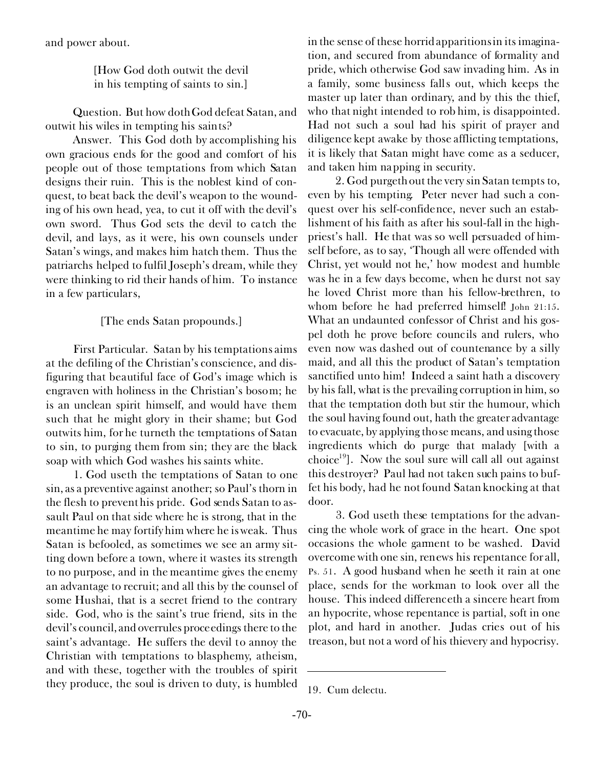and power about.

*[How God doth outwit the devil in his tempting of saints to sin.]*

*Question.* But how doth God defeat Satan, and outwit his wiles in tempting his saints?

*Answer.* This God doth by accomplishing his own gracious ends for the good and comfort of his people out of those temptations from which Satan designs their ruin. This is the noblest kind of conquest, to beat back the devil's weapon to the wounding of his own head, yea, to cut it off with the devil's own sword. Thus God sets the devil to catch the devil, and lays, as it were, his own counsels under Satan's wings, and makes him hatch them. Thus the patriarchs helped to fulfil Joseph's dream, while they were thinking to rid their hands of him. To instance in a few particulars,

#### *[The ends Satan propounds.]*

*First Particular.* Satan by his temptations aims at the defiling of the Christian's conscience, and disfiguring that beautiful face of God's image which is engraven with holiness in the Christian's bosom; he is an unclean spirit himself, and would have them such that he might glory in their shame; but God outwits him, for he turneth the temptations of Satan *to* sin, to purging them *from* sin; they are the black soap with which God washes his saints white.

1. God useth the temptations of Satan to one sin, as a preventive against another; so Paul's thorn in the flesh to prevent his pride. God sends Satan to assault Paul on that side where he is strong, that in the meantime he may fortify him where he is weak. Thus Satan is befooled, as sometimes we see an army sitting down before a town, where it wastes its strength to no purpose, and in the meantime gives the enemy an advantage to recruit; and all this by the counsel of some Hushai, that is a secret friend to the contrary side. God, who is the saint's true friend, sits in the devil's council, and overrules proceedings there to the saint's advantage. He suffers the devil to annoy the Christian with temptations to blasphemy, atheism, and with these, together with the troubles of spirit they produce, the soul is driven to duty, is humbled

in the sense of these horrid apparitions in its imagination, and secured from abundance of formality and pride, which otherwise God saw invading him. As in a family, some business falls out, which keeps the master up later than ordinary, and by this the thief, who that night intended to rob him, is disappointed. Had not such a soul had his spirit of prayer and diligence kept awake by those afflicting temptations, it is likely that Satan might have come as a seducer, and taken him napping in security.

2. God purgeth out the very sin Satan tempts to, even by his tempting. Peter never had such a conquest over his self-confidence, never such an establishment of his faith as after his soul-fall in the highpriest's hall. He that was so well persuaded of himself before, as to say, 'Though all were offended with Christ, yet would not he,' how modest and humble was he in a few days become, when he durst not say he loved Christ more than his fellow-brethren, to whom before he had preferred himself! John 21:15. What an undaunted confessor of Christ and his gospel doth he prove before councils and rulers, who even now was dashed out of countenance by a silly maid, and all this the product of Satan's temptation sanctified unto him! Indeed a saint hath a discovery by his fall, what is the prevailing corruption in him, so that the temptation doth but stir the humour, which the soul having found out, hath the greater advantage to evacuate, by applying those means, and using those ingredients which do purge that malady [with a choice<sup>19</sup>]. Now the soul sure will call all out against this destroyer? Paul had not taken such pains to buffet his body, had he not found Satan knocking at that door.

3. God useth these temptations for the advancing the whole work of grace in the heart. One spot occasions the whole garment to be washed. David overcome with one sin, renews his repentance for all, Ps. 51. A good husband when he seeth it rain at one place, sends for the workman to look over all the house. This indeed differenceth a sincere heart from an hypocrite, whose repentance is partial, soft in one plot, and hard in another. Judas cries out of his treason, but not a word of his thievery and hypocrisy.

<sup>19.</sup> *Cum delectu.*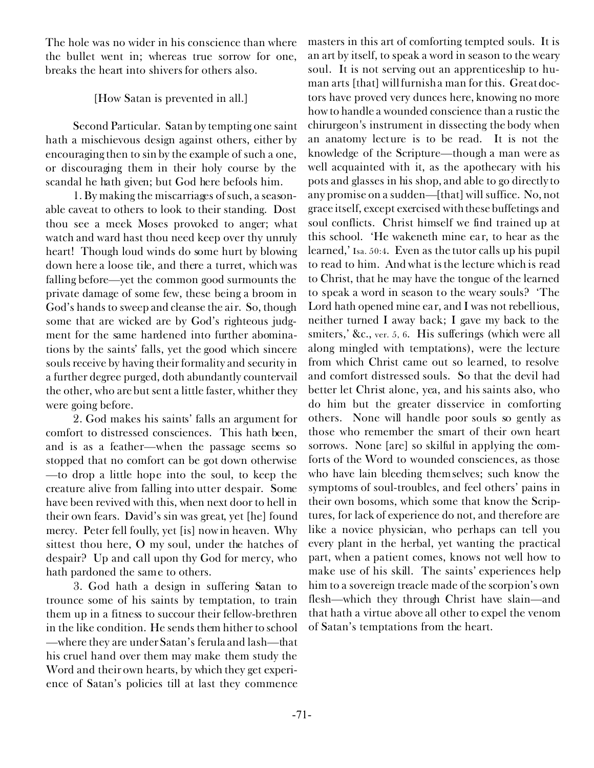The hole was no wider in his conscience than where the bullet went in; whereas true sorrow for one, breaks the heart into shivers for others also.

# *[How Satan is prevented in all.]*

*Second Particular.* Satan by tempting one saint hath a mischievous design against others, either by encouraging then to sin by the example of such a one, or discouraging them in their holy course by the scandal he hath given; but God here befools him.

1. By making the miscarriages of such, a seasonable caveat to others to look to their standing. Dost thou see a meek Moses provoked to anger; what watch and ward hast thou need keep over thy unruly heart! Though loud winds do some hurt by blowing down here a loose tile, and there a turret, which was falling before—yet the common good surmounts the private damage of some few, these being a broom in God's hands to sweep and cleanse the air. So, though some that are wicked are by God's righteous judgment for the same hardened into further abominations by the saints' falls, yet the good which sincere souls receive by having their formality and security in a further degree purged, doth abundantly countervail the other, who are but sent a little faster, whither they were going before.

2. God makes his saints' falls an argument for comfort to distressed consciences. This hath been, and is as a feather—when the passage seems so stopped that no comfort can be got down otherwise —to drop a little hope into the soul, to keep the creature alive from falling into utter despair. Some have been revived with this, when next door to hell in their own fears. David's sin was great, yet [he] found mercy. Peter fell foully, yet [is] now in heaven. Why sittest thou here, O my soul, under the hatches of despair? Up and call upon thy God for mercy, who hath pardoned the same to others.

3. God hath a design in suffering Satan to trounce some of his saints by temptation, to train them up in a fitness to succour their fellow-brethren in the like condition. He sends them hither to school —where they are under Satan's ferula and lash—that his cruel hand over them may make them study the Word and their own hearts, by which they get experience of Satan's policies till at last they commence

masters in this art of comforting tempted souls. It is an art by itself, to speak a word in season to the weary soul. It is not serving out an apprenticeship to human arts [that] will furnish a man for this. Great doctors have proved very dunces here, knowing no more how to handle a wounded conscience than a rustic the chirurgeon's instrument in dissecting the body when an anatomy lecture is to be read. It is not the knowledge of the Scripture—though a man were as well acquainted with it, as the apothecary with his pots and glasses in his shop, and able to go directly to any promise on a sudden—[that] will suffice. No, not grace itself, except exercised with these buffetings and soul conflicts. Christ himself we find trained up at this school. 'He wakeneth mine ear, to hear as the learned,' Isa. 50:4. Even as the tutor calls up his pupil to read to him. And what is the lecture which is read to Christ, that he may have the tongue of the learned to speak a word in season to the weary souls? 'The Lord hath opened mine ear, and I was not rebellious, neither turned I away back; I gave my back to the smiters,' &c., ver. 5, 6. His sufferings (which were all along mingled with temptations), were the lecture from which Christ came out so learned, to resolve and comfort distressed souls. So that the devil had better let Christ alone, yea, and his saints also, who do him but the greater disservice in comforting others. None will handle poor souls so gently as those who remember the smart of their own heart sorrows. None [are] so skilful in applying the comforts of the Word to wounded consciences, as those who have lain bleeding themselves; such know the symptoms of soul-troubles, and feel others' pains in their own bosoms, which some that know the Scriptures, for lack of experience do not, and therefore are like a novice physician, who perhaps can tell you every plant in the herbal, yet wanting the practical part, when a patient comes, knows not well how to make use of his skill. The saints' experiences help him to a sovereign treacle made of the scorpion's own flesh—which they through Christ have slain—and that hath a virtue above all other to expel the venom of Satan's temptations from the heart.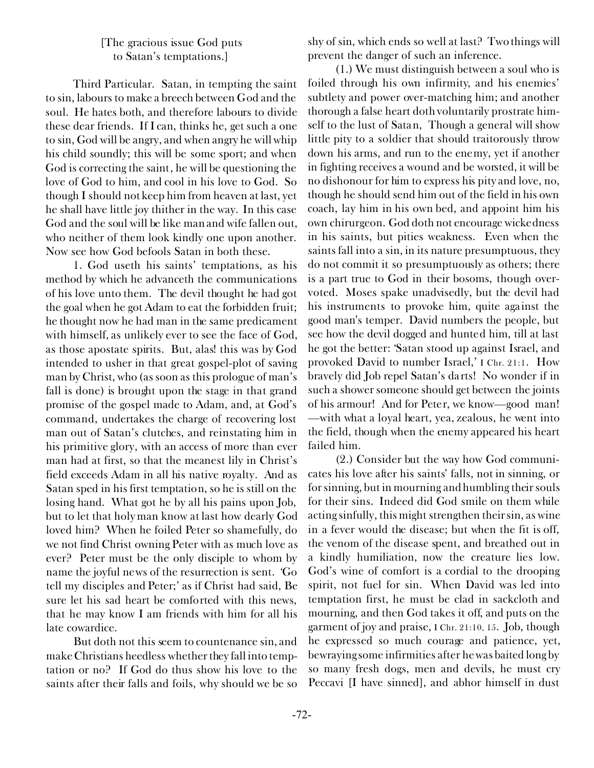# *[The gracious issue God puts to Satan's temptations.]*

*Third Particular.* Satan, in tempting the saint to sin, labours to make a breech between God and the soul. He hates both, and therefore labours to divide these dear friends. If I can, thinks he, get such a one to sin, God will be angry, and when angry he will whip his child soundly; this will be some sport; and when God is correcting the saint, he will be questioning the love of God to him, and cool in his love to God. So though I should not keep him from heaven at last, yet he shall have little joy thither in the way. In this case God and the soul will be like man and wife fallen out, who neither of them look kindly one upon another. Now see how God befools Satan in both these.

1. God useth his saints' temptations, as his method by which he advanceth the communications of his love unto them. The devil thought he had got the goal when he got Adam to eat the forbidden fruit; he thought now he had man in the same predicament with himself, as unlikely ever to see the face of God, as those apostate spirits. But, alas! this was by God intended to usher in that great gospel-plot of saving man by Christ, who (as soon as this prologue of man's fall is done) is brought upon the stage in that grand promise of the gospel made to Adam, and, at God's command, undertakes the charge of recovering lost man out of Satan's clutches, and reinstating him in his primitive glory, with an access of more than ever man had at first, so that the meanest lily in Christ's field exceeds Adam in all his native royalty. And as Satan sped in his first temptation, so he is still on the losing hand. What got he by all his pains upon Job, but to let that holy man know at last how dearly God loved him? When he foiled Peter so shamefully, do we not find Christ owning Peter with as much love as ever? Peter must be the only disciple to whom by name the joyful news of the resurrection is sent. 'Go tell my disciples and Peter;' as if Christ had said, Be sure let his sad heart be comforted with this news, that he may know I am friends with him for all his late cowardice.

But doth not this seem to countenance sin, and make Christians heedless whether they fall into temptation or no? If God do thus show his love to the saints after their falls and foils, why should we be so

shy of sin, which ends so well at last? Two things will prevent the danger of such an inference.

(1.) We must distinguish between a soul who is foiled through his own infirmity, and his enemies' subtlety and power over-matching him; and another thorough a false heart doth voluntarily prostrate himself to the lust of Satan, Though a general will show little pity to a soldier that should traitorously throw down his arms, and run to the enemy, yet if another in fighting receives a wound and be worsted, it will be no dishonour for him to express his pity and love, no, though he should send him out of the field in his own coach, lay him in his own bed, and appoint him his own chirurgeon. God doth not encourage wickedness in his saints, but pities weakness. Even when the saints fall into a sin, in its nature presumptuous, they do not commit it so presumptuously as others; there is a part true to God in their bosoms, though overvoted. Moses spake unadvisedly, but the devil had his instruments to provoke him, quite against the good man's temper. David numbers the people, but see how the devil dogged and hunted him, till at last he got the better: 'Satan stood up against Israel, and provoked David to number Israel,' I Chr. 21:1. How bravely did Job repel Satan's darts! No wonder if in such a shower someone should get between the joints of his armour! And for Peter, we know—good man! —with what a loyal heart, yea, zealous, he went into the field, though when the enemy appeared his heart failed him.

(2.) Consider but the way how God communicates his love after his saints' falls, not in sinning, or for sinning, but in mourning and humbling their souls for their sins. Indeed did God smile on them while acting sinfully, this might strengthen their sin, as wine in a fever would the disease; but when the fit is off, the venom of the disease spent, and breathed out in a kindly humiliation, now the creature lies low. God's wine of comfort is a cordial to the drooping spirit, not fuel for sin. When David was led into temptation first, he must be clad in sackcloth and mourning, and then God takes it off, and puts on the garment of joy and praise, I Chr. 21:10, 15. Job, though he expressed so much courage and patience, yet, bewraying some infirmities after he was baited long by so many fresh dogs, men and devils, he must cry *Peccavi* [I have sinned], and abhor himself in dust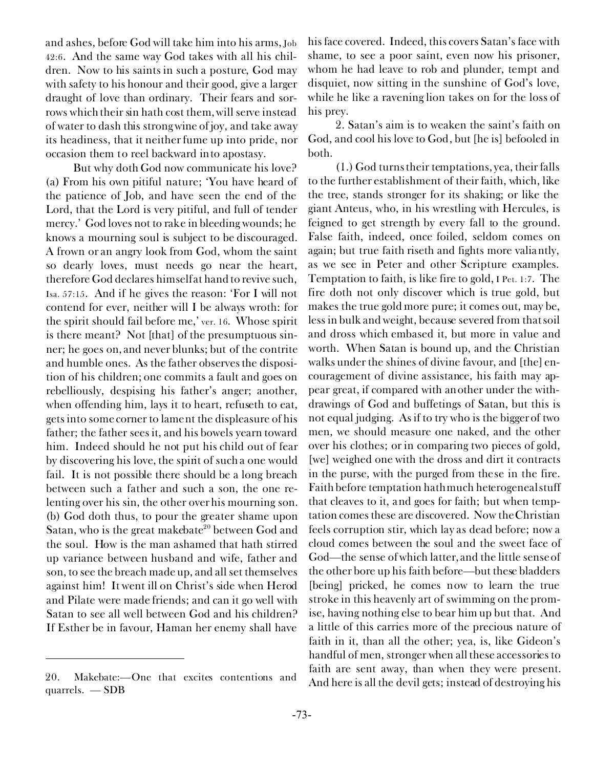and ashes, before God will take him into his arms, Job 42:6. And the same way God takes with all his children. Now to his saints in such a posture, God may with safety to his honour and their good, give a larger draught of love than ordinary. Their fears and sorrows which their sin hath cost them, will serve instead of water to dash this strong wine of joy, and take away its headiness, that it neither fume up into pride, nor occasion them to reel backward into apostasy.

But why doth God now communicate his love? *(a)* From his own pitiful nature; 'You have heard of the patience of Job, and have seen the end of the Lord, that the Lord is very pitiful, and full of tender mercy.' God loves not to rake in bleeding wounds; he knows a mourning soul is subject to be discouraged. A frown or an angry look from God, whom the saint so dearly loves, must needs go near the heart, therefore God declares himself at hand to revive such, Isa. 57:15. And if he gives the reason: 'For I will not contend for ever, neither will I be always wroth: for the spirit should fail before me,' ver. 16. Whose spirit is there meant? Not [that] of the presumptuous sinner; he goes on, and never blunks; but of the contrite and humble ones. As the father observes the disposition of his children; one commits a fault and goes on rebelliously, despising his father's anger; another, when offending him, lays it to heart, refuseth to eat, gets into some corner to lament the displeasure of his father; the father sees it, and his bowels yearn toward him. Indeed should he not put his child out of fear by discovering his love, the spirit of such a one would fail. It is not possible there should be a long breach between such a father and such a son, the one relenting over his sin, the other over his mourning son. *(b)* God doth thus, to pour the greater shame upon Satan, who is the great makebate $20$  between God and the soul. How is the man ashamed that hath stirred up variance between husband and wife, father and son, to see the breach made up, and all set themselves against him! It went ill on Christ's side when Herod and Pilate were made friends; and can it go well with Satan to see all well between God and his children? If Esther be in favour, Haman her enemy shall have

quarrels. — SDB

his face covered. Indeed, this covers Satan's face with shame, to see a poor saint, even now his prisoner, whom he had leave to rob and plunder, tempt and disquiet, now sitting in the sunshine of God's love, while he like a ravening lion takes on for the loss of his prey.

2. Satan's aim is to weaken the saint's faith on God, and cool his love to God, but [he is] befooled in both.

(1.) God turns their temptations, yea, their falls to the further establishment of their faith, which, like the tree, stands stronger for its shaking; or like the giant Anteus, who, in his wrestling with Hercules, is feigned to get strength by every fall to the ground. False faith, indeed, once foiled, seldom comes on again; but true faith riseth and fights more valiantly, as we see in Peter and other Scripture examples. Temptation to faith, is like fire to gold, I Pet. 1:7. The fire doth not only discover which is true gold, but makes the true gold more pure; it comes out, may be, less in bulk and weight, because severed from that soil and dross which embased it, but more in value and worth. When Satan is bound up, and the Christian walks under the shines of divine favour, and [the] encouragement of divine assistance, his faith may appear great, if compared with another under the withdrawings of God and buffetings of Satan, but this is not equal judging. As if to try who is the bigger of two men, we should measure one naked, and the other over his clothes; or in comparing two pieces of gold, [we] weighed one with the dross and dirt it contracts in the purse, with the purged from these in the fire. Faith before temptation hath much heterogeneal stuff that cleaves to it, and goes for faith; but when temptation comes these are discovered. Now the Christian feels corruption stir, which lay as dead before; now a cloud comes between the soul and the sweet face of God—the sense of which latter, and the little sense of the other bore up his faith before—but these bladders [being] pricked, he comes now to learn the true stroke in this heavenly art of swimming on the promise, having nothing else to bear him up but that. And a little of this carries more of the precious nature of faith in it, than all the other; yea, is, like Gideon's handful of men, stronger when all these accessories to faith are sent away, than when they were present. 20. Makebate:—One that excites contentions and And here is all the devil gets; instead of destroying his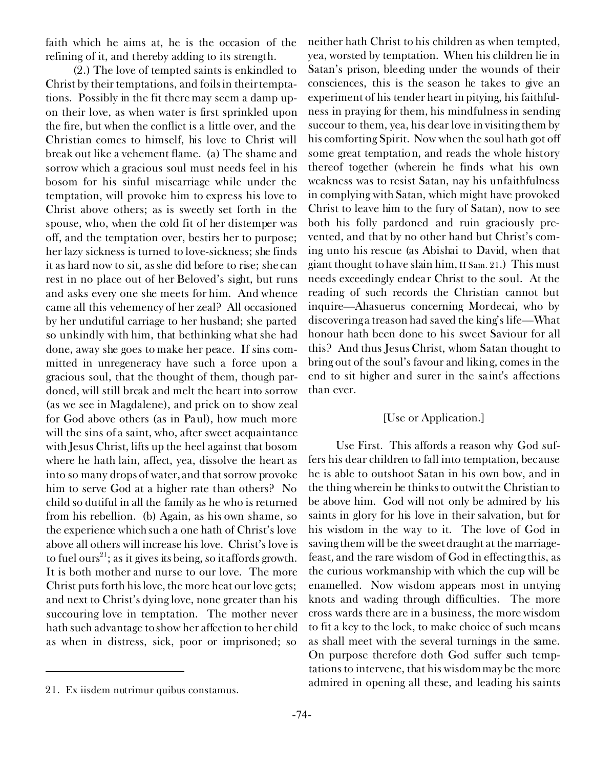faith which he aims at, he is the occasion of the refining of it, and thereby adding to its strength.

(2.) The love of tempted saints is enkindled to Christ by their temptations, and foils in their temptations. Possibly in the fit there may seem a damp upon their love, as when water is first sprinkled upon the fire, but when the conflict is a little over, and the Christian comes to himself, his love to Christ will break out like a vehement flame. *(a)* The shame and sorrow which a gracious soul must needs feel in his bosom for his sinful miscarriage while under the temptation, will provoke him to express his love to Christ above others; as is sweetly set forth in the spouse, who, when the cold fit of her distemper was off, and the temptation over, bestirs her to purpose; her lazy sickness is turned to love-sickness; she finds it as hard now to sit, as she did before to rise; she can rest in no place out of her Beloved's sight, but runs and asks every one she meets for him. And whence came all this vehemency of her zeal? All occasioned by her undutiful carriage to her husband; she parted so unkindly with him, that bethinking what she had done, away she goes to make her peace. If sins committed in unregeneracy have such a force upon a gracious soul, that the thought of them, though pardoned, will still break and melt the heart into sorrow (as we see in Magdalene), and prick on to show zeal for God above others (as in Paul), how much more will the sins of a saint, who, after sweet acquaintance with Jesus Christ, lifts up the heel against that bosom where he hath lain, affect, yea, dissolve the heart as into so many drops of water, and that sorrow provoke him to serve God at a higher rate than others? No child so dutiful in all the family as he who is returned from his rebellion. *(b)* Again, as his own shame, so the experience which such a one hath of Christ's love above all others will increase his love. Christ's love is to fuel ours<sup>21</sup>; as it gives its being, so it affords growth. It is both mother and nurse to our love. The more Christ puts forth his love, the more heat our love gets; and next to Christ's dying love, none greater than his succouring love in temptation. The mother never hath such advantage to show her affection to her child as when in distress, sick, poor or imprisoned; so

neither hath Christ to his children as when tempted, yea, worsted by temptation. When his children lie in Satan's prison, bleeding under the wounds of their consciences, this is the season he takes to give an experiment of his tender heart in pitying, his faithfulness in praying for them, his mindfulness in sending succour to them, yea, his dear love in visiting them by his comforting Spirit. Now when the soul hath got off some great temptation, and reads the whole history thereof together (wherein he finds what his own weakness was to resist Satan, nay his unfaithfulness in complying with Satan, which might have provoked Christ to leave him to the fury of Satan), now to see both his folly pardoned and ruin graciously prevented, and that by no other hand but Christ's coming unto his rescue (as Abishai to David, when that giant thought to have slain him,  $II$  Sam. 21.) This must needs exceedingly endear Christ to the soul. At the reading of such records the Christian cannot but inquire—Ahasuerus concerning Mordecai, who by discovering a treason had saved the king's life—What honour hath been done to his sweet Saviour for all this? And thus Jesus Christ, whom Satan thought to bring out of the soul's favour and liking, comes in the end to sit higher and surer in the saint's affections than ever.

#### *[Use or Application.]*

*Use First.* This affords a reason why God suffers his dear children to fall into temptation, because he is able to outshoot Satan in his own bow, and in the thing wherein he thinks to outwit the Christian to be above him. God will not only be admired by his saints in glory for his love in their salvation, but for his wisdom in the way to it. The love of God in saving them will be the sweet draught at the marriagefeast, and the rare wisdom of God in effecting this, as the curious workmanship with which the cup will be enamelled. Now wisdom appears most in untying knots and wading through difficulties. The more cross wards there are in a business, the more wisdom to fit a key to the lock, to make choice of such means as shall meet with the several turnings in the same. On purpose therefore doth God suffer such temptations to intervene, that his wisdom may be the more admired in opening all these, and leading his saints 21. *Ex iisdem nutrimur quibus constamus.*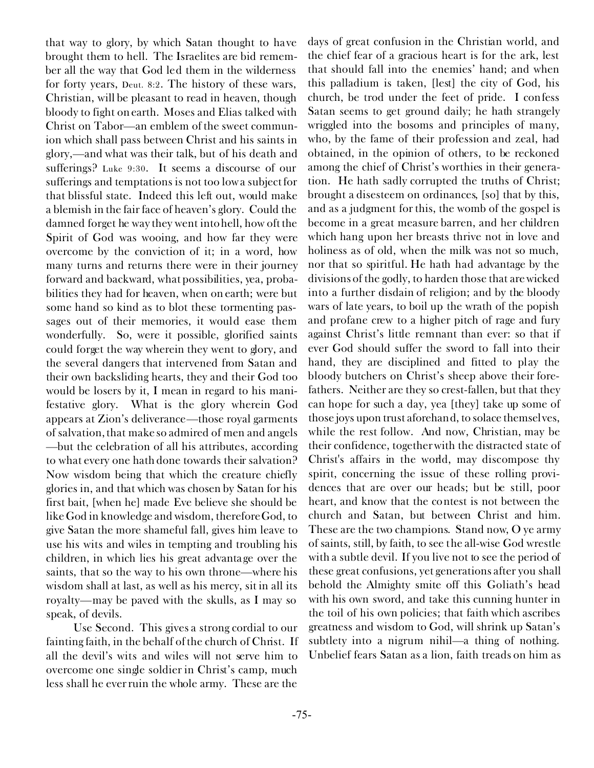that way to glory, by which Satan thought to have brought them to hell. The Israelites are bid remember all the way that God led them in the wilderness for forty years, Deut. 8:2. The history of these wars, Christian, will be pleasant to read in heaven, though bloody to fight on earth. Moses and Elias talked with Christ on Tabor—an emblem of the sweet communion which shall pass between Christ and his saints in glory,—and what was their talk, but of his death and sufferings? Luke 9:30. It seems a discourse of our sufferings and temptations is not too low a subject for that blissful state. Indeed this left out, would make a blemish in the fair face of heaven's glory. Could the damned forget he way they went into hell, how oft the Spirit of God was wooing, and how far they were overcome by the conviction of it; in a word, how many turns and returns there were in their journey forward and backward, what possibilities, yea, probabilities they had for heaven, when on earth; were but some hand so kind as to blot these tormenting passages out of their memories, it would ease them wonderfully. So, were it possible, glorified saints could forget the way wherein they went to glory, and the several dangers that intervened from Satan and their own backsliding hearts, they and their God too would be losers by it, I mean in regard to his manifestative glory. What is the glory wherein God appears at Zion's deliverance—those royal garments of salvation, that make so admired of men and angels —but the celebration of all his attributes, according to what every one hath done towards their salvation? Now wisdom being that which the creature chiefly glories in, and that which was chosen by Satan for his first bait, [when he] made Eve believe she should be like God in knowledge and wisdom, therefore God, to give Satan the more shameful fall, gives him leave to use his wits and wiles in tempting and troubling his children, in which lies his great advantage over the saints, that so the way to his own throne—where his wisdom shall at last, as well as his mercy, sit in all its royalty—may be paved with the skulls, as I may so speak, of devils.

*Use Second.* This gives a strong cordial to our fainting faith, in the behalf of the church of Christ. If all the devil's wits and wiles will not serve him to overcome one single soldier in Christ's camp, much less shall he ever ruin the whole army. These are the

days of great confusion in the Christian world, and the chief fear of a gracious heart is for the ark, lest that should fall into the enemies' hand; and when this palladium is taken, [lest] the city of God, his church, be trod under the feet of pride. I confess Satan seems to get ground daily; he hath strangely wriggled into the bosoms and principles of many, who, by the fame of their profession and zeal, had obtained, in the opinion of others, to be reckoned among the chief of Christ's worthies in their generation. He hath sadly corrupted the truths of Christ; brought a disesteem on ordinances, [so] that by this, and as a judgment for this, the womb of the gospel is become in a great measure barren, and her children which hang upon her breasts thrive not in love and holiness as of old, when the milk was not so much, nor that so spiritful. He hath had advantage by the divisions of the godly, to harden those that are wicked into a further disdain of religion; and by the bloody wars of late years, to boil up the wrath of the popish and profane crew to a higher pitch of rage and fury against Christ's little remnant than ever: so that if ever God should suffer the sword to fall into their hand, they are disciplined and fitted to play the bloody butchers on Christ's sheep above their forefathers. Neither are they so crest-fallen, but that they can hope for such a day, yea [they] take up some of those joys upon trust aforehand, to solace themselves, while the rest follow. And now, Christian, may be their confidence, together with the distracted state of Christ's affairs in the world, may discompose thy spirit, concerning the issue of these rolling providences that are over our heads; but be still, poor heart, and know that the contest is not between the church and Satan, but between Christ and him. These are the two champions. Stand now, O ye army of saints, still, by faith, to see the all-wise God wrestle with a subtle devil. If you live not to see the period of these great confusions, yet generations after you shall behold the Almighty smite off this Goliath's head with his own sword, and take this cunning hunter in the toil of his own policies; that faith which ascribes greatness and wisdom to God, will shrink up Satan's subtlety into a *nigrum nihil—*a thing of nothing. Unbelief fears Satan as a lion, faith treads on him as